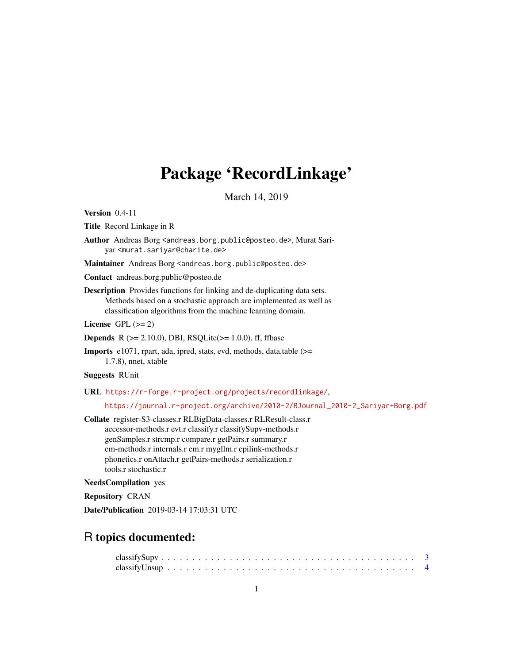# Package 'RecordLinkage'

March 14, 2019

<span id="page-0-0"></span>Version 0.4-11

Title Record Linkage in R

Author Andreas Borg <andreas.borg.public@posteo.de>, Murat Sariyar <murat.sariyar@charite.de>

Maintainer Andreas Borg <andreas.borg.public@posteo.de>

Contact andreas.borg.public@posteo.de

Description Provides functions for linking and de-duplicating data sets. Methods based on a stochastic approach are implemented as well as classification algorithms from the machine learning domain.

License GPL  $(>= 2)$ 

**Depends** R  $(>= 2.10.0)$ , DBI, RSQLite $(>= 1.0.0)$ , ff, ffbase

Imports e1071, rpart, ada, ipred, stats, evd, methods, data.table (>= 1.7.8), nnet, xtable

Suggests RUnit

URL <https://r-forge.r-project.org/projects/recordlinkage/>,

[https://journal.r-project.org/archive/2010-2/RJournal\\_2010-2\\_Sariyar+Borg.pdf](https://journal.r-project.org/archive/2010-2/RJournal_2010-2_Sariyar+Borg.pdf)

Collate register-S3-classes.r RLBigData-classes.r RLResult-class.r accessor-methods.r evt.r classify.r classifySupv-methods.r genSamples.r strcmp.r compare.r getPairs.r summary.r em-methods.r internals.r em.r mygllm.r epilink-methods.r phonetics.r onAttach.r getPairs-methods.r serialization.r tools.r stochastic.r

NeedsCompilation yes

Repository CRAN

Date/Publication 2019-03-14 17:03:31 UTC

# R topics documented: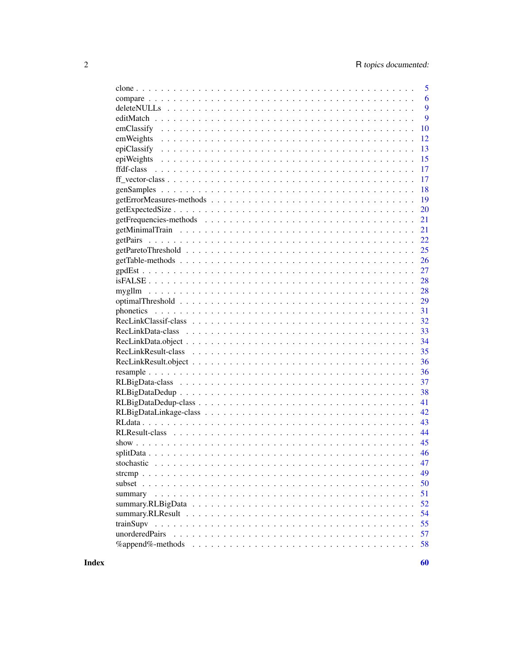|                | 5  |
|----------------|----|
|                | 6  |
|                | 9  |
|                | 9  |
|                | 10 |
| emWeights      | 12 |
|                | 13 |
|                | 15 |
|                | 17 |
|                | 17 |
|                | 18 |
|                | 19 |
|                | 20 |
|                | 21 |
|                | 21 |
|                | 22 |
|                | 25 |
|                | 26 |
|                | 27 |
|                | 28 |
| mygllm         | 28 |
|                | 29 |
|                | 31 |
|                | 32 |
|                | 33 |
|                | 34 |
|                | 35 |
|                | 36 |
|                | 36 |
|                | 37 |
|                | 38 |
|                | 41 |
|                | 42 |
|                | 43 |
|                | 44 |
|                | 45 |
|                | 46 |
|                | 47 |
|                | 49 |
|                | 50 |
|                | 51 |
|                | 52 |
|                | 54 |
|                | 55 |
| unorderedPairs | 57 |
|                | 58 |
|                |    |

**Index**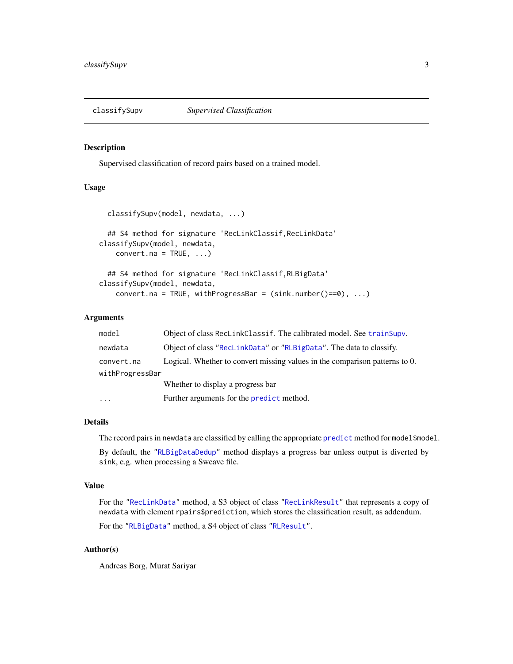<span id="page-2-1"></span><span id="page-2-0"></span>

Supervised classification of record pairs based on a trained model.

### Usage

```
classifySupv(model, newdata, ...)
  ## S4 method for signature 'RecLinkClassif,RecLinkData'
classifySupv(model, newdata,
   convert.na = TRUE, ...)## S4 method for signature 'RecLinkClassif,RLBigData'
classifySupv(model, newdata,
   convert.na = TRUE, withProgressBar = (sink.number() == 0), ...
```
# Arguments

| model           | Object of class RecLinkClassif. The calibrated model. See trainSupv.        |
|-----------------|-----------------------------------------------------------------------------|
| newdata         | Object of class "RecLinkData" or "RLBigData". The data to classify.         |
| convert.na      | Logical. Whether to convert missing values in the comparison patterns to 0. |
| withProgressBar |                                                                             |
|                 | Whether to display a progress bar                                           |
|                 | Further arguments for the predict method.                                   |

# Details

The record pairs in newdata are classified by calling the appropriate [predict](#page-0-0) method for model\$model.

By default, the ["RLBigDataDedup"](#page-40-1) method displays a progress bar unless output is diverted by sink, e.g. when processing a Sweave file.

# Value

For the ["RecLinkData"](#page-33-1) method, a S3 object of class ["RecLinkResult"](#page-35-1) that represents a copy of newdata with element rpairs\$prediction, which stores the classification result, as addendum.

For the ["RLBigData"](#page-36-1) method, a S4 object of class ["RLResult"](#page-43-1).

# Author(s)

Andreas Borg, Murat Sariyar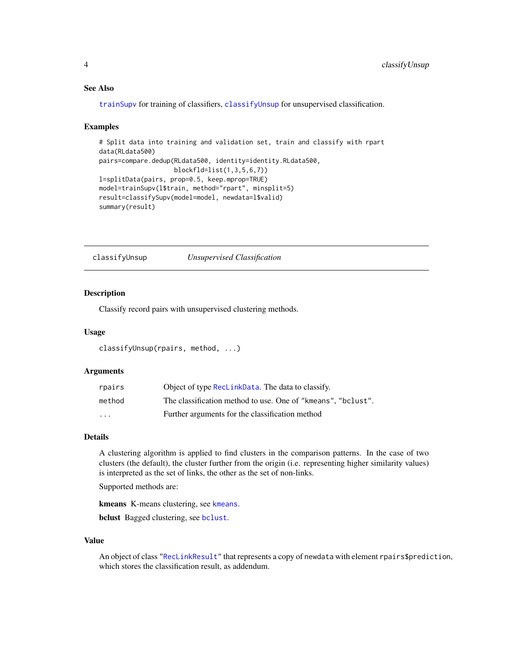# See Also

[trainSupv](#page-54-1) for training of classifiers, [classifyUnsup](#page-3-1) for unsupervised classification.

### Examples

```
# Split data into training and validation set, train and classify with rpart
data(RLdata500)
pairs=compare.dedup(RLdata500, identity=identity.RLdata500,
                   blockfld=list(1,3,5,6,7))
l=splitData(pairs, prop=0.5, keep.mprop=TRUE)
model=trainSupv(l$train, method="rpart", minsplit=5)
result=classifySupv(model=model, newdata=l$valid)
summary(result)
```
<span id="page-3-1"></span>classifyUnsup *Unsupervised Classification*

### Description

Classify record pairs with unsupervised clustering methods.

### Usage

```
classifyUnsup(rpairs, method, ...)
```
### **Arguments**

| rpairs  | Object of type ReclinkData. The data to classify.            |
|---------|--------------------------------------------------------------|
| method  | The classification method to use. One of "kmeans", "bclust". |
| $\cdot$ | Further arguments for the classification method              |

# Details

A clustering algorithm is applied to find clusters in the comparison patterns. In the case of two clusters (the default), the cluster further from the origin (i.e. representing higher similarity values) is interpreted as the set of links, the other as the set of non-links.

Supported methods are:

[kmeans](#page-0-0) K-means clustering, see kmeans.

bclust Bagged clustering, see [bclust](#page-0-0).

# Value

An object of class ["RecLinkResult"](#page-35-1) that represents a copy of newdata with element rpairs\$prediction, which stores the classification result, as addendum.

<span id="page-3-0"></span>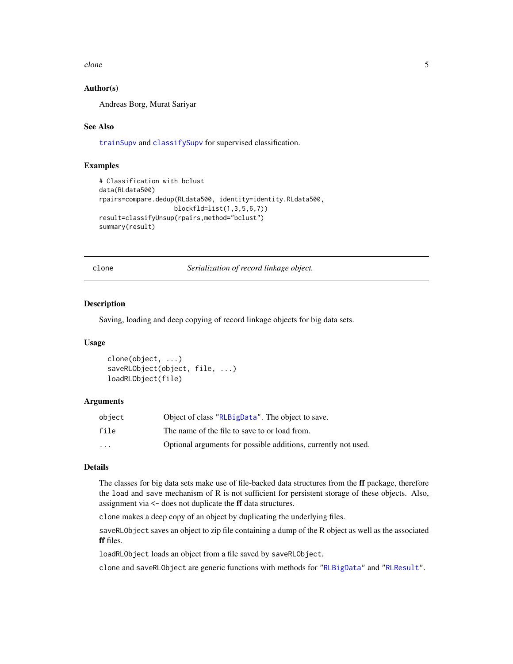<span id="page-4-0"></span>clone 5

# Author(s)

Andreas Borg, Murat Sariyar

# See Also

[trainSupv](#page-54-1) and [classifySupv](#page-2-1) for supervised classification.

### Examples

```
# Classification with bclust
data(RLdata500)
rpairs=compare.dedup(RLdata500, identity=identity.RLdata500,
                    blockfld=list(1,3,5,6,7))
result=classifyUnsup(rpairs,method="bclust")
summary(result)
```
clone *Serialization of record linkage object.*

# Description

Saving, loading and deep copying of record linkage objects for big data sets.

### Usage

```
clone(object, ...)
saveRLObject(object, file, ...)
loadRLObject(file)
```
# Arguments

| obiect                  | Object of class "RLBigData". The object to save.               |
|-------------------------|----------------------------------------------------------------|
| file                    | The name of the file to save to or load from.                  |
| $\cdot$ $\cdot$ $\cdot$ | Optional arguments for possible additions, currently not used. |

# Details

The classes for big data sets make use of file-backed data structures from the ff package, therefore the load and save mechanism of R is not sufficient for persistent storage of these objects. Also, assignment via <- does not duplicate the ff data structures.

clone makes a deep copy of an object by duplicating the underlying files.

saveRLObject saves an object to zip file containing a dump of the R object as well as the associated ff files.

loadRLObject loads an object from a file saved by saveRLObject.

clone and saveRLObject are generic functions with methods for ["RLBigData"](#page-36-1) and ["RLResult"](#page-43-1).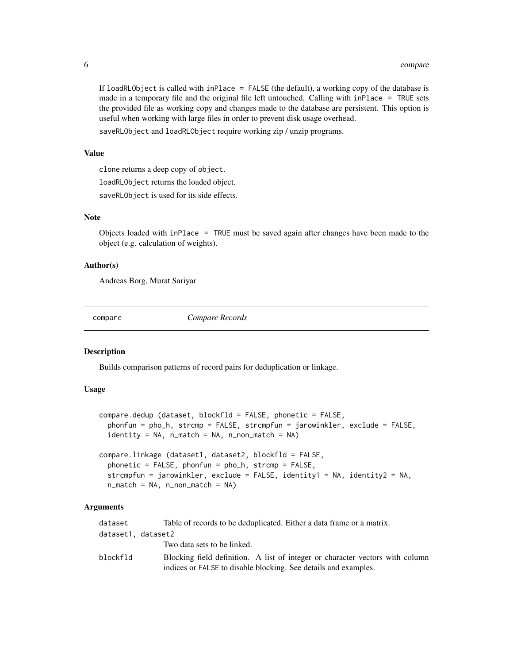If loadRLObject is called with inPlace = FALSE (the default), a working copy of the database is made in a temporary file and the original file left untouched. Calling with inPlace = TRUE sets the provided file as working copy and changes made to the database are persistent. This option is useful when working with large files in order to prevent disk usage overhead.

saveRLObject and loadRLObject require working zip / unzip programs.

# Value

clone returns a deep copy of object.

loadRLObject returns the loaded object.

saveRLObject is used for its side effects.

# Note

Objects loaded with inPlace = TRUE must be saved again after changes have been made to the object (e.g. calculation of weights).

#### Author(s)

Andreas Borg, Murat Sariyar

compare *Compare Records*

# <span id="page-5-1"></span>**Description**

Builds comparison patterns of record pairs for deduplication or linkage.

# Usage

```
compare.dedup (dataset, blockfld = FALSE, phonetic = FALSE,
  phonfun = pho_h, strcmp = FALSE, strcmpfun = jarowinkler, exclude = FALSE,
  identity = NA, n_match = NA, n_non_match = NA)
```

```
compare.linkage (dataset1, dataset2, blockfld = FALSE,
 phonetic = FALSE, phonfun = pho_h, strcmp = FALSE,
 strcmpfun = jarowinkler, exclude = FALSE, identity1 = NA, identity2 = NA,
 n_match = NA, n_non_match = NA)
```
### Arguments

| dataset            | Table of records to be deduplicated. Either a data frame or a matrix.                                                                            |
|--------------------|--------------------------------------------------------------------------------------------------------------------------------------------------|
| dataset1, dataset2 |                                                                                                                                                  |
|                    | Two data sets to be linked.                                                                                                                      |
| blockfld           | Blocking field definition. A list of integer or character vectors with column<br>indices or FALSE to disable blocking. See details and examples. |

<span id="page-5-0"></span>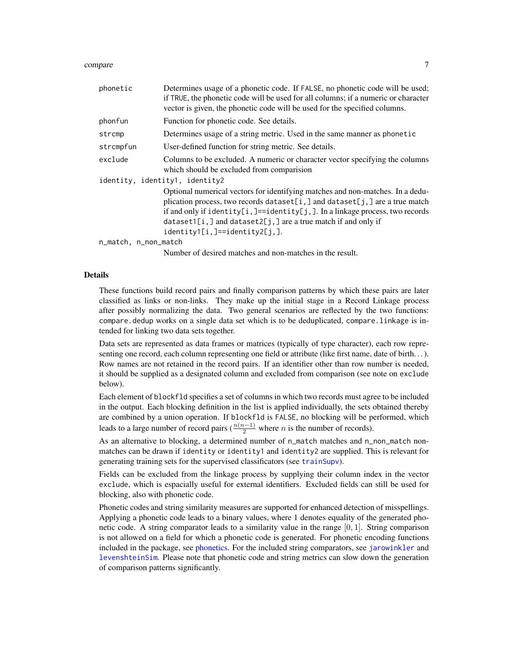#### <span id="page-6-0"></span>compare 7

| phonetic                       | Determines usage of a phonetic code. If FALSE, no phonetic code will be used;<br>if TRUE, the phonetic code will be used for all columns; if a numeric or character<br>vector is given, the phonetic code will be used for the specified columns.                                                                                                           |
|--------------------------------|-------------------------------------------------------------------------------------------------------------------------------------------------------------------------------------------------------------------------------------------------------------------------------------------------------------------------------------------------------------|
| phonfun                        | Function for phonetic code. See details.                                                                                                                                                                                                                                                                                                                    |
| strcmp                         | Determines usage of a string metric. Used in the same manner as phonetic                                                                                                                                                                                                                                                                                    |
| strcmpfun                      | User-defined function for string metric. See details.                                                                                                                                                                                                                                                                                                       |
| exclude                        | Columns to be excluded. A numeric or character vector specifying the columns<br>which should be excluded from comparision                                                                                                                                                                                                                                   |
| identity, identity1, identity2 | Optional numerical vectors for identifying matches and non-matches. In a dedu-<br>plication process, two records dataset[i,] and dataset[j,] are a true match<br>if and only if identity[i,]==identity[j,]. In a linkage process, two records<br>$dataset1[i, ]$ and $dataset2[j, ]$ are a true match if and only if<br>$identity1[i, ] == identity2[j, ].$ |
| n_match, n_non_match           |                                                                                                                                                                                                                                                                                                                                                             |
|                                | Number of desired matches and non-matches in the result.                                                                                                                                                                                                                                                                                                    |

### Details

These functions build record pairs and finally comparison patterns by which these pairs are later classified as links or non-links. They make up the initial stage in a Record Linkage process after possibly normalizing the data. Two general scenarios are reflected by the two functions: compare.dedup works on a single data set which is to be deduplicated, compare.linkage is intended for linking two data sets together.

Data sets are represented as data frames or matrices (typically of type character), each row representing one record, each column representing one field or attribute (like first name, date of birth. . . ). Row names are not retained in the record pairs. If an identifier other than row number is needed, it should be supplied as a designated column and excluded from comparison (see note on exclude below).

Each element of blockfld specifies a set of columns in which two records must agree to be included in the output. Each blocking definition in the list is applied individually, the sets obtained thereby are combined by a union operation. If blockfld is FALSE, no blocking will be performed, which leads to a large number of record pairs ( $\frac{n(n-1)}{2}$  where *n* is the number of records).

As an alternative to blocking, a determined number of n\_match matches and n\_non\_match nonmatches can be drawn if identity or identity1 and identity2 are supplied. This is relevant for generating training sets for the supervised classificators (see [trainSupv](#page-54-1)).

Fields can be excluded from the linkage process by supplying their column index in the vector exclude, which is espacially useful for external identifiers. Excluded fields can still be used for blocking, also with phonetic code.

Phonetic codes and string similarity measures are supported for enhanced detection of misspellings. Applying a phonetic code leads to a binary values, where 1 denotes equality of the generated phonetic code. A string comparator leads to a similarity value in the range  $[0, 1]$ . String comparison is not allowed on a field for which a phonetic code is generated. For phonetic encoding functions included in the package, see [phonetics.](#page-30-1) For the included string comparators, see [jarowinkler](#page-48-1) and [levenshteinSim](#page-48-1). Please note that phonetic code and string metrics can slow down the generation of comparison patterns significantly.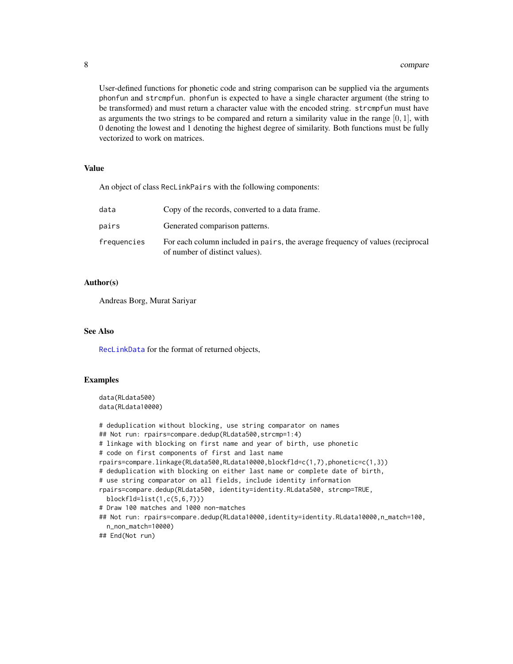#### 8 compare to the compare of the compare of the compare of the compare of the compare of the compare of the compare of the compare of the compare of the compare of the compare of the compare of the compare of the compare of

User-defined functions for phonetic code and string comparison can be supplied via the arguments phonfun and strcmpfun. phonfun is expected to have a single character argument (the string to be transformed) and must return a character value with the encoded string. strcmpfun must have as arguments the two strings to be compared and return a similarity value in the range  $[0, 1]$ , with 0 denoting the lowest and 1 denoting the highest degree of similarity. Both functions must be fully vectorized to work on matrices.

### Value

An object of class RecLinkPairs with the following components:

| data        | Copy of the records, converted to a data frame.                                                                  |
|-------------|------------------------------------------------------------------------------------------------------------------|
| pairs       | Generated comparison patterns.                                                                                   |
| frequencies | For each column included in pairs, the average frequency of values (reciprocal<br>of number of distinct values). |

# Author(s)

Andreas Borg, Murat Sariyar

# See Also

[RecLinkData](#page-33-1) for the format of returned objects,

# Examples

```
data(RLdata500)
data(RLdata10000)
```

```
# deduplication without blocking, use string comparator on names
## Not run: rpairs=compare.dedup(RLdata500,strcmp=1:4)
# linkage with blocking on first name and year of birth, use phonetic
# code on first components of first and last name
rpairs=compare.linkage(RLdata500,RLdata10000,blockfld=c(1,7),phonetic=c(1,3))
# deduplication with blocking on either last name or complete date of birth,
# use string comparator on all fields, include identity information
rpairs=compare.dedup(RLdata500, identity=identity.RLdata500, strcmp=TRUE,
 blockfld=list(1,c(5,6,7)))
# Draw 100 matches and 1000 non-matches
## Not run: rpairs=compare.dedup(RLdata10000,identity=identity.RLdata10000,n_match=100,
 n_non_match=10000)
## End(Not run)
```
<span id="page-7-0"></span>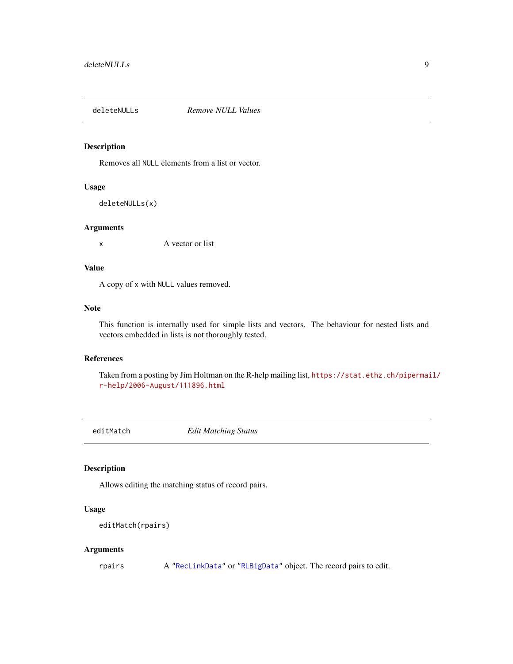<span id="page-8-0"></span>

Removes all NULL elements from a list or vector.

# Usage

deleteNULLs(x)

#### Arguments

x A vector or list

# Value

A copy of x with NULL values removed.

## Note

This function is internally used for simple lists and vectors. The behaviour for nested lists and vectors embedded in lists is not thoroughly tested.

# References

Taken from a posting by Jim Holtman on the R-help mailing list, [https://stat.ethz.ch/pipermai](https://stat.ethz.ch/pipermail/r-help/2006-August/111896.html)l/ [r-help/2006-August/111896.html](https://stat.ethz.ch/pipermail/r-help/2006-August/111896.html)

<span id="page-8-1"></span>editMatch *Edit Matching Status*

### Description

Allows editing the matching status of record pairs.

# Usage

```
editMatch(rpairs)
```
# Arguments

rpairs A ["RecLinkData"](#page-33-1) or ["RLBigData"](#page-36-1) object. The record pairs to edit.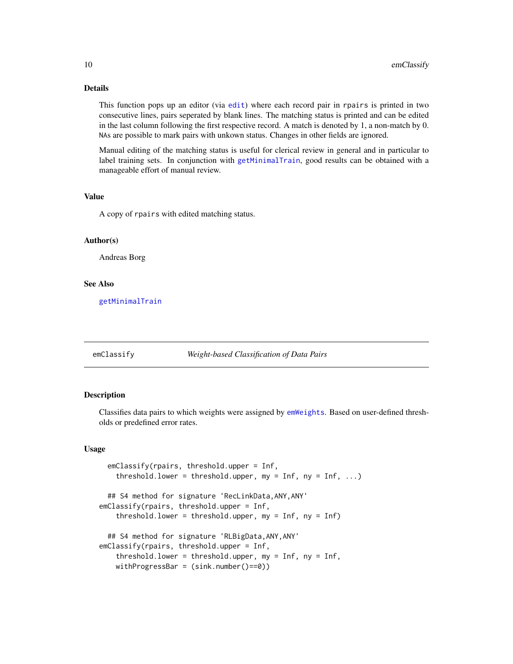# Details

This function pops up an editor (via [edit](#page-0-0)) where each record pair in rpairs is printed in two consecutive lines, pairs seperated by blank lines. The matching status is printed and can be edited in the last column following the first respective record. A match is denoted by 1, a non-match by 0. NAs are possible to mark pairs with unkown status. Changes in other fields are ignored.

Manual editing of the matching status is useful for clerical review in general and in particular to label training sets. In conjunction with [getMinimalTrain](#page-20-1), good results can be obtained with a manageable effort of manual review.

### Value

A copy of rpairs with edited matching status.

## Author(s)

Andreas Borg

#### See Also

[getMinimalTrain](#page-20-1)

<span id="page-9-1"></span>

### emClassify *Weight-based Classification of Data Pairs*

#### **Description**

Classifies data pairs to which weights were assigned by [emWeights](#page-11-1). Based on user-defined thresholds or predefined error rates.

#### Usage

```
emClassify(rpairs, threshold.upper = Inf,
   threshold.lower = threshold.upper, my = Inf, ny = Inf, ...)
 ## S4 method for signature 'RecLinkData,ANY,ANY'
emClassify(rpairs, threshold.upper = Inf,
   threshold.lower = threshold.upper, my = Inf, ny = Inf)
 ## S4 method for signature 'RLBigData,ANY,ANY'
emClassify(rpairs, threshold.upper = Inf,
   threshold.lower = threshold.upper, my = Inf, ny = Inf,
   withProgressBar = (sink.number()==0))
```
<span id="page-9-0"></span>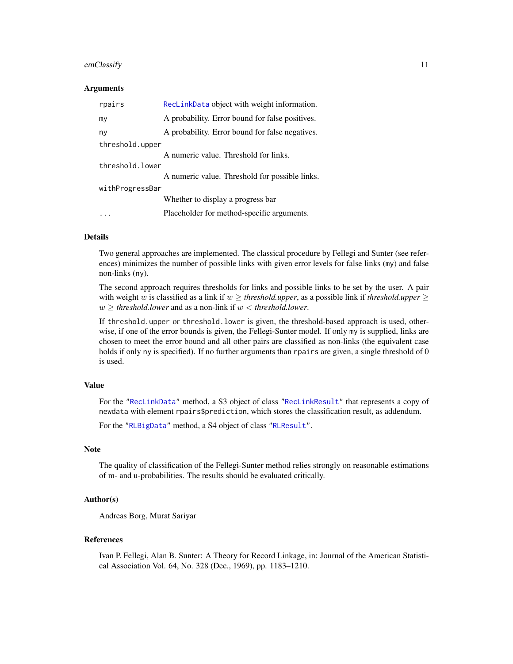#### <span id="page-10-0"></span>emClassify 11

### Arguments

| rpairs          | RecLinkData object with weight information.     |
|-----------------|-------------------------------------------------|
| my              | A probability. Error bound for false positives. |
| ny              | A probability. Error bound for false negatives. |
| threshold.upper |                                                 |
|                 | A numeric value. Threshold for links.           |
| threshold.lower |                                                 |
|                 | A numeric value. Threshold for possible links.  |
| withProgressBar |                                                 |
|                 | Whether to display a progress bar               |
|                 | Placeholder for method-specific arguments.      |

#### Details

Two general approaches are implemented. The classical procedure by Fellegi and Sunter (see references) minimizes the number of possible links with given error levels for false links (my) and false non-links (ny).

The second approach requires thresholds for links and possible links to be set by the user. A pair with weight w is classified as a link if  $w \geq$  *threshold.upper*, as a possible link if *threshold.upper*  $\geq$  $w >$  *threshold.lower* and as a non-link if  $w <$  *threshold.lower.* 

If threshold.upper or threshold.lower is given, the threshold-based approach is used, otherwise, if one of the error bounds is given, the Fellegi-Sunter model. If only my is supplied, links are chosen to meet the error bound and all other pairs are classified as non-links (the equivalent case holds if only ny is specified). If no further arguments than rpairs are given, a single threshold of 0 is used.

### Value

For the ["RecLinkData"](#page-33-1) method, a S3 object of class ["RecLinkResult"](#page-35-1) that represents a copy of newdata with element rpairs\$prediction, which stores the classification result, as addendum.

For the ["RLBigData"](#page-36-1) method, a S4 object of class ["RLResult"](#page-43-1).

#### Note

The quality of classification of the Fellegi-Sunter method relies strongly on reasonable estimations of m- and u-probabilities. The results should be evaluated critically.

### Author(s)

Andreas Borg, Murat Sariyar

### References

Ivan P. Fellegi, Alan B. Sunter: A Theory for Record Linkage, in: Journal of the American Statistical Association Vol. 64, No. 328 (Dec., 1969), pp. 1183–1210.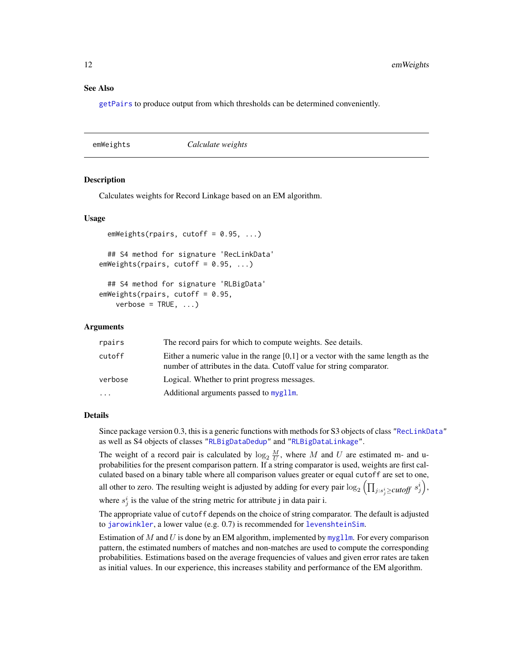### <span id="page-11-0"></span>See Also

[getPairs](#page-21-1) to produce output from which thresholds can be determined conveniently.

<span id="page-11-1"></span>emWeights *Calculate weights*

#### Description

Calculates weights for Record Linkage based on an EM algorithm.

### Usage

```
emWeights(rpairs, cutoff = 0.95, ...)
  ## S4 method for signature 'RecLinkData'
emWeights (rpairs, cutoff = 0.95, ...)## S4 method for signature 'RLBigData'
emWeights(rpairs, cutoff = 0.95,
    verbose = TRUE, ...)
```
#### Arguments

| rpairs   | The record pairs for which to compute weights. See details.                                                                                                  |
|----------|--------------------------------------------------------------------------------------------------------------------------------------------------------------|
| cutoff   | Either a numeric value in the range $[0,1]$ or a vector with the same length as the<br>number of attributes in the data. Cutoff value for string comparator. |
| verbose  | Logical. Whether to print progress messages.                                                                                                                 |
| $\cdots$ | Additional arguments passed to mygllm.                                                                                                                       |

#### Details

Since package version 0.3, this is a generic functions with methods for S3 objects of class ["RecLinkData"](#page-33-2) as well as S4 objects of classes ["RLBigDataDedup"](#page-40-1) and ["RLBigDataLinkage"](#page-41-1).

The weight of a record pair is calculated by  $\log_2 \frac{M}{U}$ , where M and U are estimated m- and uprobabilities for the present comparison pattern. If a string comparator is used, weights are first calculated based on a binary table where all comparison values greater or equal cutoff are set to one, all other to zero. The resulting weight is adjusted by adding for every pair  $\log_2\left(\prod_{j:s_j^i\geq cutoff}\ s_j^i\right)$ ,

where  $s_j^i$  is the value of the string metric for attribute j in data pair i.

The appropriate value of cutoff depends on the choice of string comparator. The default is adjusted to [jarowinkler](#page-48-1), a lower value (e.g. 0.7) is recommended for [levenshteinSim](#page-48-1).

Estimation of M and U is done by an EM algorithm, implemented by [mygllm](#page-27-1). For every comparison pattern, the estimated numbers of matches and non-matches are used to compute the corresponding probabilities. Estimations based on the average frequencies of values and given error rates are taken as initial values. In our experience, this increases stability and performance of the EM algorithm.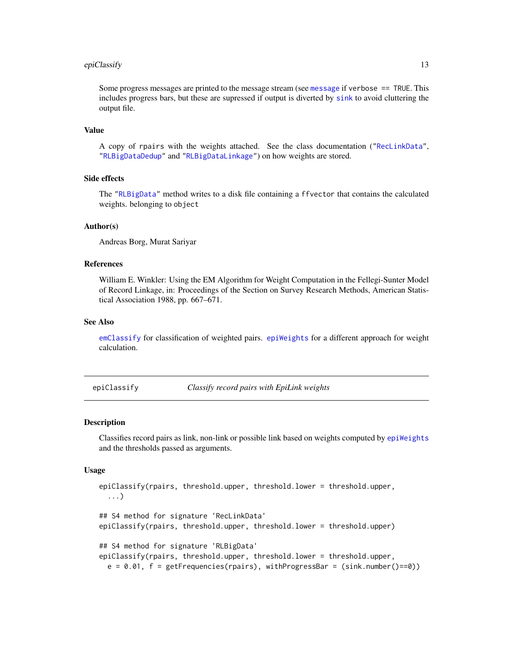### <span id="page-12-0"></span>epiClassify 13

Some progress messages are printed to the message stream (see [message](#page-0-0) if verbose == TRUE. This includes progress bars, but these are supressed if output is diverted by [sink](#page-0-0) to avoid cluttering the output file.

### Value

A copy of rpairs with the weights attached. See the class documentation (["RecLinkData"](#page-33-2), ["RLBigDataDedup"](#page-40-1) and ["RLBigDataLinkage"](#page-41-1)) on how weights are stored.

### Side effects

The ["RLBigData"](#page-36-1) method writes to a disk file containing a ffvector that contains the calculated weights. belonging to object

# Author(s)

Andreas Borg, Murat Sariyar

### References

William E. Winkler: Using the EM Algorithm for Weight Computation in the Fellegi-Sunter Model of Record Linkage, in: Proceedings of the Section on Survey Research Methods, American Statistical Association 1988, pp. 667–671.

### See Also

[emClassify](#page-9-1) for classification of weighted pairs. [epiWeights](#page-14-1) for a different approach for weight calculation.

<span id="page-12-1"></span>epiClassify *Classify record pairs with EpiLink weights*

#### Description

Classifies record pairs as link, non-link or possible link based on weights computed by [epiWeights](#page-14-1) and the thresholds passed as arguments.

# Usage

```
epiClassify(rpairs, threshold.upper, threshold.lower = threshold.upper,
  ...)
## S4 method for signature 'RecLinkData'
epiClassify(rpairs, threshold.upper, threshold.lower = threshold.upper)
## S4 method for signature 'RLBigData'
epiClassify(rpairs, threshold.upper, threshold.lower = threshold.upper,
 e = 0.01, f = getFrequencies(rpairs), withProgressBar = (sink.number()==0))
```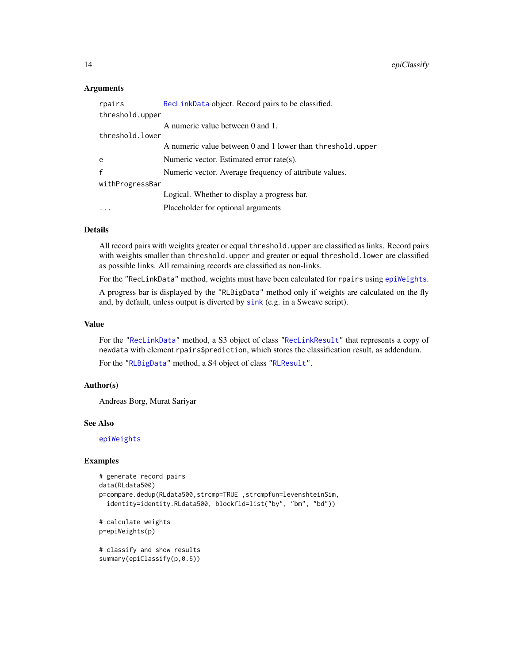# <span id="page-13-0"></span>Arguments

| rpairs          | RecLinkData object. Record pairs to be classified.         |  |  |  |  |  |
|-----------------|------------------------------------------------------------|--|--|--|--|--|
| threshold.upper |                                                            |  |  |  |  |  |
|                 | A numeric value between 0 and 1.                           |  |  |  |  |  |
| threshold lower |                                                            |  |  |  |  |  |
|                 | A numeric value between 0 and 1 lower than threshold.upper |  |  |  |  |  |
| e               | Numeric vector. Estimated error rate(s).                   |  |  |  |  |  |
| $\mathbf{f}$    | Numeric vector. Average frequency of attribute values.     |  |  |  |  |  |
| withProgressBar |                                                            |  |  |  |  |  |
|                 | Logical. Whether to display a progress bar.                |  |  |  |  |  |
|                 | Placeholder for optional arguments                         |  |  |  |  |  |

# Details

All record pairs with weights greater or equal threshold.upper are classified as links. Record pairs with weights smaller than threshold.upper and greater or equal threshold.lower are classified as possible links. All remaining records are classified as non-links.

For the "RecLinkData" method, weights must have been calculated for rpairs using [epiWeights](#page-14-1).

A progress bar is displayed by the "RLBigData" method only if weights are calculated on the fly and, by default, unless output is diverted by [sink](#page-0-0) (e.g. in a Sweave script).

## Value

For the ["RecLinkData"](#page-33-1) method, a S3 object of class ["RecLinkResult"](#page-35-1) that represents a copy of newdata with element rpairs\$prediction, which stores the classification result, as addendum.

For the ["RLBigData"](#page-36-1) method, a S4 object of class ["RLResult"](#page-43-1).

# Author(s)

Andreas Borg, Murat Sariyar

### See Also

[epiWeights](#page-14-1)

### Examples

```
# generate record pairs
data(RLdata500)
p=compare.dedup(RLdata500,strcmp=TRUE ,strcmpfun=levenshteinSim,
 identity=identity.RLdata500, blockfld=list("by", "bm", "bd"))
```
# calculate weights p=epiWeights(p)

# classify and show results summary(epiClassify(p,0.6))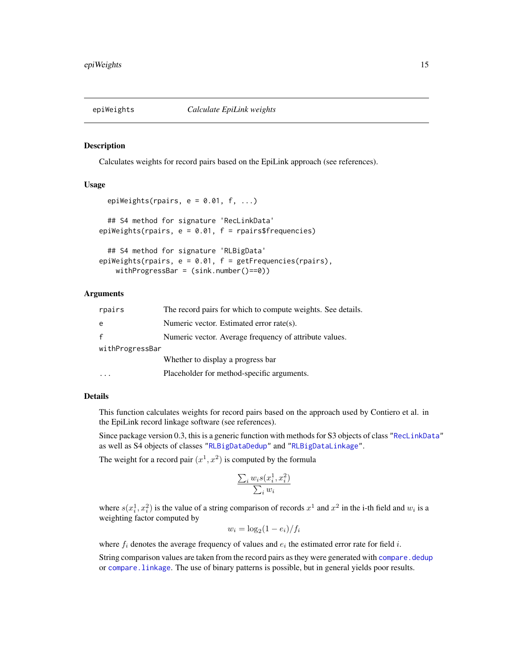<span id="page-14-1"></span><span id="page-14-0"></span>

Calculates weights for record pairs based on the EpiLink approach (see references).

# Usage

```
epiWeights(rpairs, e = 0.01, f, ...)
  ## S4 method for signature 'RecLinkData'
epiWeights(rpairs, e = 0.01, f = rpairs$frequencies)
 ## S4 method for signature 'RLBigData'
epiWeights(rpairs, e = 0.01, f = getFrequencies(rpairs),
   withProgressBar = (sink.number()==0))
```
# Arguments

| rpairs          | The record pairs for which to compute weights. See details. |
|-----------------|-------------------------------------------------------------|
| e               | Numeric vector. Estimated error rate(s).                    |
|                 | Numeric vector. Average frequency of attribute values.      |
| withProgressBar |                                                             |
|                 | Whether to display a progress bar                           |
|                 | Placeholder for method-specific arguments.                  |

### Details

This function calculates weights for record pairs based on the approach used by Contiero et al. in the EpiLink record linkage software (see references).

Since package version 0.3, this is a generic function with methods for S3 objects of class ["RecLinkData"](#page-33-2) as well as S4 objects of classes ["RLBigDataDedup"](#page-40-1) and ["RLBigDataLinkage"](#page-41-1).

The weight for a record pair  $(x^1, x^2)$  is computed by the formula

$$
\frac{\sum_{i} w_i s(x_i^1, x_i^2)}{\sum_{i} w_i}
$$

where  $s(x_i^1, x_i^2)$  is the value of a string comparison of records  $x^1$  and  $x^2$  in the i-th field and  $w_i$  is a weighting factor computed by

$$
w_i = \log_2(1 - e_i) / f_i
$$

where  $f_i$  denotes the average frequency of values and  $e_i$  the estimated error rate for field i.

String comparison values are taken from the record pairs as they were generated with [compare.dedup](#page-5-1) or [compare.linkage](#page-5-1). The use of binary patterns is possible, but in general yields poor results.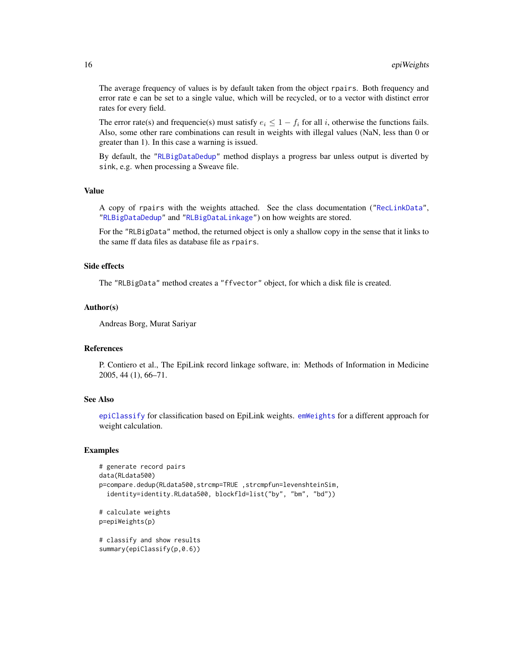The average frequency of values is by default taken from the object rpairs. Both frequency and error rate e can be set to a single value, which will be recycled, or to a vector with distinct error rates for every field.

The error rate(s) and frequencie(s) must satisfy  $e_i \leq 1 - f_i$  for all i, otherwise the functions fails. Also, some other rare combinations can result in weights with illegal values (NaN, less than 0 or greater than 1). In this case a warning is issued.

By default, the ["RLBigDataDedup"](#page-40-1) method displays a progress bar unless output is diverted by sink, e.g. when processing a Sweave file.

# Value

A copy of rpairs with the weights attached. See the class documentation (["RecLinkData"](#page-33-2), ["RLBigDataDedup"](#page-40-1) and ["RLBigDataLinkage"](#page-41-1)) on how weights are stored.

For the "RLBigData" method, the returned object is only a shallow copy in the sense that it links to the same ff data files as database file as rpairs.

### Side effects

The "RLBigData" method creates a "ffvector" object, for which a disk file is created.

#### Author(s)

Andreas Borg, Murat Sariyar

### **References**

P. Contiero et al., The EpiLink record linkage software, in: Methods of Information in Medicine 2005, 44 (1), 66–71.

### See Also

[epiClassify](#page-12-1) for classification based on EpiLink weights. [emWeights](#page-11-1) for a different approach for weight calculation.

#### Examples

```
# generate record pairs
data(RLdata500)
p=compare.dedup(RLdata500,strcmp=TRUE ,strcmpfun=levenshteinSim,
  identity=identity.RLdata500, blockfld=list("by", "bm", "bd"))
# calculate weights
p=epiWeights(p)
# classify and show results
summary(epiClassify(p,0.6))
```
<span id="page-15-0"></span>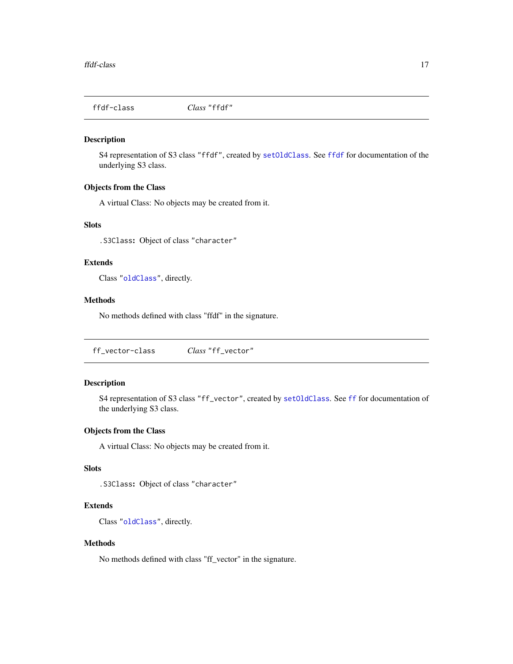<span id="page-16-0"></span>

S4 representation of S3 class "ffdf", created by [setOldClass](#page-0-0). See [ffdf](#page-0-0) for documentation of the underlying S3 class.

# Objects from the Class

A virtual Class: No objects may be created from it.

# Slots

.S3Class: Object of class "character"

# Extends

Class ["oldClass"](#page-0-0), directly.

# Methods

No methods defined with class "ffdf" in the signature.

ff\_vector-class *Class* "ff\_vector"

# Description

S4 representation of S3 class "ff\_vector", created by [setOldClass](#page-0-0). See [ff](#page-0-0) for documentation of the underlying S3 class.

# Objects from the Class

A virtual Class: No objects may be created from it.

# Slots

.S3Class: Object of class "character"

# Extends

Class ["oldClass"](#page-0-0), directly.

### Methods

No methods defined with class "ff\_vector" in the signature.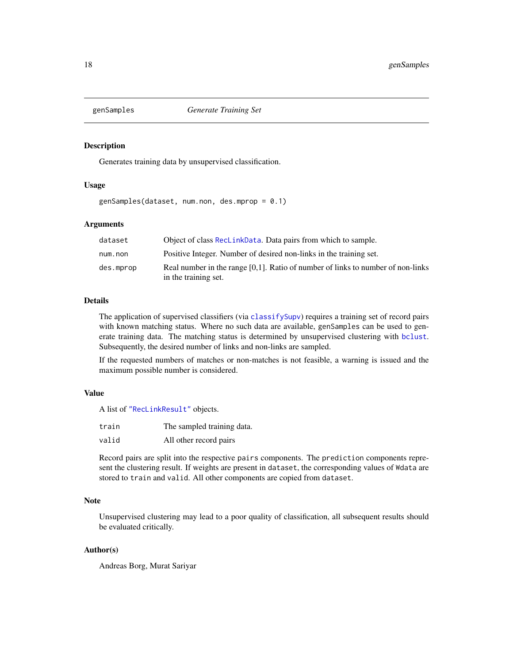<span id="page-17-1"></span><span id="page-17-0"></span>

Generates training data by unsupervised classification.

### Usage

genSamples(dataset, num.non, des.mprop = 0.1)

### Arguments

| dataset   | Object of class ReclinkData. Data pairs from which to sample.                      |
|-----------|------------------------------------------------------------------------------------|
| num.non   | Positive Integer. Number of desired non-links in the training set.                 |
| des.mprop | Real number in the range $[0,1]$ . Ratio of number of links to number of non-links |
|           | in the training set.                                                               |

# Details

The application of supervised classifiers (via [classifySupv](#page-2-1)) requires a training set of record pairs with known matching status. Where no such data are available, genSamples can be used to generate training data. The matching status is determined by unsupervised clustering with [bclust](#page-0-0). Subsequently, the desired number of links and non-links are sampled.

If the requested numbers of matches or non-matches is not feasible, a warning is issued and the maximum possible number is considered.

### Value

A list of ["RecLinkResult"](#page-34-1) objects.

| train | The sampled training data. |
|-------|----------------------------|
| valid | All other record pairs     |

Record pairs are split into the respective pairs components. The prediction components represent the clustering result. If weights are present in dataset, the corresponding values of Wdata are stored to train and valid. All other components are copied from dataset.

### Note

Unsupervised clustering may lead to a poor quality of classification, all subsequent results should be evaluated critically.

### Author(s)

Andreas Borg, Murat Sariyar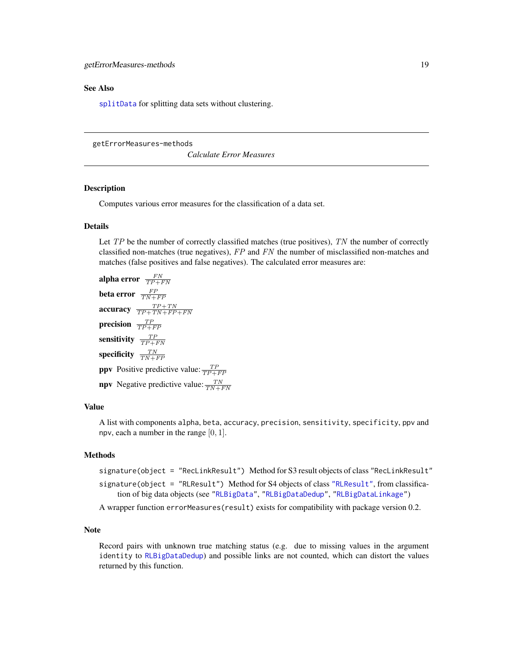### <span id="page-18-0"></span>See Also

[splitData](#page-45-1) for splitting data sets without clustering.

getErrorMeasures-methods

*Calculate Error Measures*

# Description

Computes various error measures for the classification of a data set.

### Details

Let  $TP$  be the number of correctly classified matches (true positives),  $TN$  the number of correctly classified non-matches (true negatives),  $FP$  and  $FN$  the number of misclassified non-matches and matches (false positives and false negatives). The calculated error measures are:

alpha error  $\frac{FN}{TP+FN}$ beta error  $\frac{FP}{TN+FP}$ accuracy  $\frac{TP+TN}{TP+TN+FP+FN}$ precision  $\frac{TP}{TP+FP}$ sensitivity  $\frac{TP}{TP+FN}$ specificity  $\frac{TN}{TN+FP}$ **ppv** Positive predictive value:  $\frac{TP}{TP+FP}$ **npv** Negative predictive value:  $\frac{TN}{TN + FN}$ 

# Value

A list with components alpha, beta, accuracy, precision, sensitivity, specificity, ppv and npv, each a number in the range  $[0, 1]$ .

# Methods

signature(object = "RecLinkResult") Method for S3 result objects of class "RecLinkResult"

signature(object = "RLResult") Method for S4 objects of class ["RLResult"](#page-34-1), from classification of big data objects (see ["RLBigData"](#page-36-1), ["RLBigDataDedup"](#page-40-1), ["RLBigDataLinkage"](#page-41-1))

A wrapper function errorMeasures(result) exists for compatibility with package version 0.2.

# Note

Record pairs with unknown true matching status (e.g. due to missing values in the argument identity to [RLBigDataDedup](#page-37-1)) and possible links are not counted, which can distort the values returned by this function.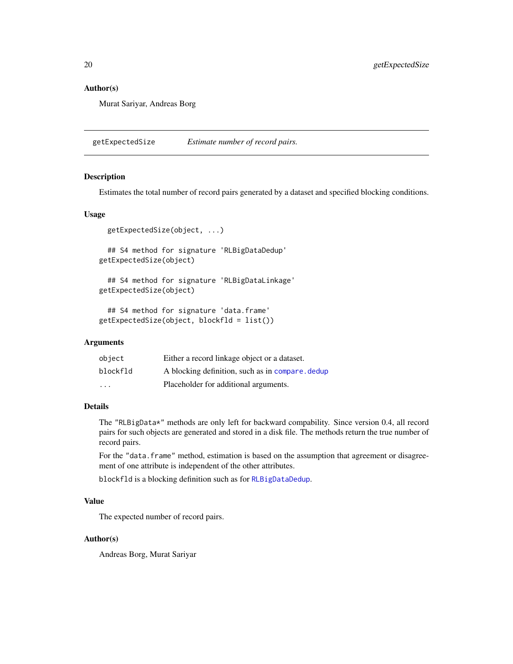# <span id="page-19-0"></span>Author(s)

Murat Sariyar, Andreas Borg

<span id="page-19-1"></span>getExpectedSize *Estimate number of record pairs.*

### **Description**

Estimates the total number of record pairs generated by a dataset and specified blocking conditions.

#### Usage

```
getExpectedSize(object, ...)
  ## S4 method for signature 'RLBigDataDedup'
getExpectedSize(object)
  ## S4 method for signature 'RLBigDataLinkage'
getExpectedSize(object)
```

```
## S4 method for signature 'data.frame'
getExpectedSize(object, blockfld = list())
```
### Arguments

| object   | Either a record linkage object or a dataset.     |
|----------|--------------------------------------------------|
| blockfld | A blocking definition, such as in compare, dedup |
| .        | Placeholder for additional arguments.            |

# Details

The "RLBigData\*" methods are only left for backward compability. Since version 0.4, all record pairs for such objects are generated and stored in a disk file. The methods return the true number of record pairs.

For the "data.frame" method, estimation is based on the assumption that agreement or disagreement of one attribute is independent of the other attributes.

blockfld is a blocking definition such as for [RLBigDataDedup](#page-37-1).

# Value

The expected number of record pairs.

# Author(s)

Andreas Borg, Murat Sariyar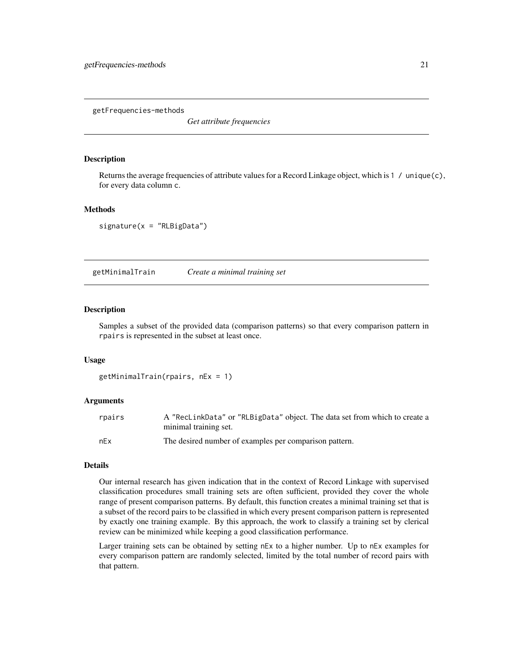<span id="page-20-0"></span>getFrequencies-methods

*Get attribute frequencies*

### **Description**

Returns the average frequencies of attribute values for a Record Linkage object, which is 1 / unique(c), for every data column c.

#### Methods

 $signature(x = "RLBigData")$ 

<span id="page-20-1"></span>getMinimalTrain *Create a minimal training set*

#### Description

Samples a subset of the provided data (comparison patterns) so that every comparison pattern in rpairs is represented in the subset at least once.

#### Usage

```
getMinimalTrain(rpairs, nEx = 1)
```
#### Arguments

| rpairs | A "RecLinkData" or "RLBigData" object. The data set from which to create a |
|--------|----------------------------------------------------------------------------|
|        | minimal training set.                                                      |
| nEx    | The desired number of examples per comparison pattern.                     |

# Details

Our internal research has given indication that in the context of Record Linkage with supervised classification procedures small training sets are often sufficient, provided they cover the whole range of present comparison patterns. By default, this function creates a minimal training set that is a subset of the record pairs to be classified in which every present comparison pattern is represented by exactly one training example. By this approach, the work to classify a training set by clerical review can be minimized while keeping a good classification performance.

Larger training sets can be obtained by setting nEx to a higher number. Up to nEx examples for every comparison pattern are randomly selected, limited by the total number of record pairs with that pattern.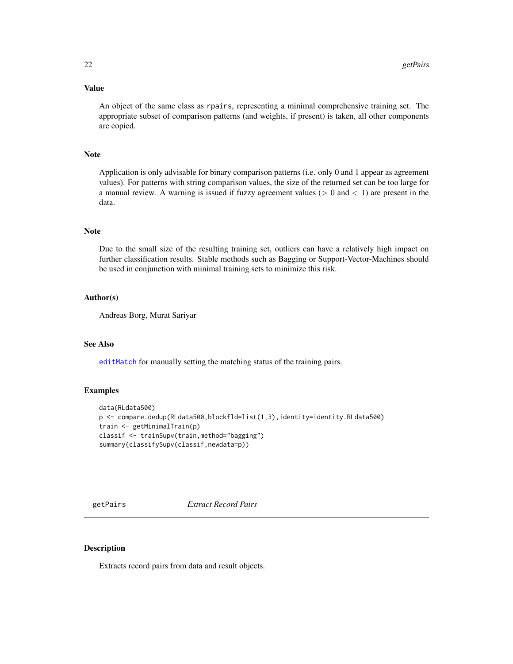# <span id="page-21-0"></span>Value

An object of the same class as rpairs, representing a minimal comprehensive training set. The appropriate subset of comparison patterns (and weights, if present) is taken, all other components are copied.

### Note

Application is only advisable for binary comparison patterns (i.e. only 0 and 1 appear as agreement values). For patterns with string comparison values, the size of the returned set can be too large for a manual review. A warning is issued if fuzzy agreement values ( $> 0$  and  $< 1$ ) are present in the data.

# Note

Due to the small size of the resulting training set, outliers can have a relatively high impact on further classification results. Stable methods such as Bagging or Support-Vector-Machines should be used in conjunction with minimal training sets to minimize this risk.

### Author(s)

Andreas Borg, Murat Sariyar

# See Also

[editMatch](#page-8-1) for manually setting the matching status of the training pairs.

### Examples

```
data(RLdata500)
p <- compare.dedup(RLdata500,blockfld=list(1,3),identity=identity.RLdata500)
train <- getMinimalTrain(p)
classif <- trainSupv(train,method="bagging")
summary(classifySupv(classif,newdata=p))
```
<span id="page-21-1"></span>getPairs *Extract Record Pairs*

### **Description**

Extracts record pairs from data and result objects.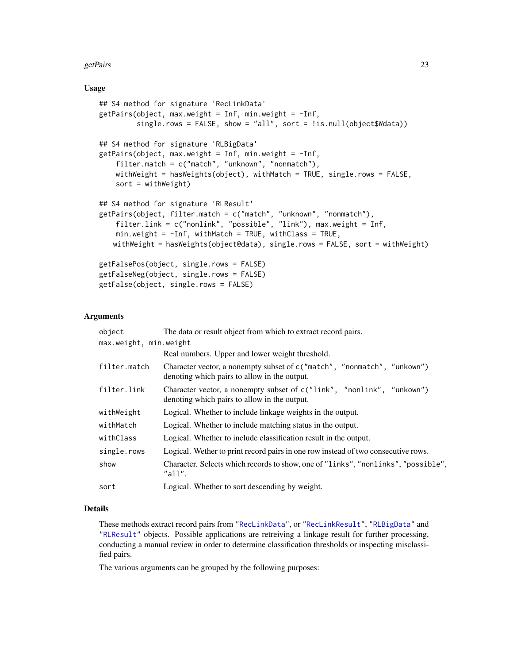#### <span id="page-22-0"></span>getPairs 23

# Usage

```
## S4 method for signature 'RecLinkData'
getPairs(Object, max.weight = Inf, min.weight = -Inf,single.rows = FALSE, show = "all", sort = !is.null(object$Wdata))
## S4 method for signature 'RLBigData'
getPairs(object, max.weight = Inf, min.weight = -Inf,
    filter.match = c("match", "unknown", "nonmatch"),
    withWeight = hasWeights(object), withMatch = TRUE, single.rows = FALSE,
    sort = withWeight)
## S4 method for signature 'RLResult'
getPairs(object, filter.match = c("match", "unknown", "nonmatch"),
    filter.link = c("nonlink", "possible", "link"), max.weight = Inf,
    min.weight = -Inf, withMatch = TRUE, withClass = TRUE,
   withWeight = hasWeights(object@data), single.rows = FALSE, sort = withWeight)
getFalsePos(object, single.rows = FALSE)
getFalseNeg(object, single.rows = FALSE)
getFalse(object, single.rows = FALSE)
```
### Arguments

| object                 | The data or result object from which to extract record pairs.                                                           |
|------------------------|-------------------------------------------------------------------------------------------------------------------------|
| max.weight, min.weight |                                                                                                                         |
|                        | Real numbers. Upper and lower weight threshold.                                                                         |
| filter.match           | Character vector, a nonempty subset of c("match", "nonmatch", "unkown")<br>denoting which pairs to allow in the output. |
| filter.link            | Character vector, a nonempty subset of c("link", "nonlink", "unkown")<br>denoting which pairs to allow in the output.   |
| withWeight             | Logical. Whether to include linkage weights in the output.                                                              |
| withMatch              | Logical. Whether to include matching status in the output.                                                              |
| withClass              | Logical. Whether to include classification result in the output.                                                        |
| single.rows            | Logical. Wether to print record pairs in one row instead of two consecutive rows.                                       |
| show                   | Character. Selects which records to show, one of "links", "nonlinks", "possible",<br>"all".                             |
| sort                   | Logical. Whether to sort descending by weight.                                                                          |

# Details

These methods extract record pairs from ["RecLinkData"](#page-33-1), or ["RecLinkResult"](#page-35-1), ["RLBigData"](#page-36-1) and ["RLResult"](#page-43-1) objects. Possible applications are retreiving a linkage result for further processing, conducting a manual review in order to determine classification thresholds or inspecting misclassified pairs.

The various arguments can be grouped by the following purposes: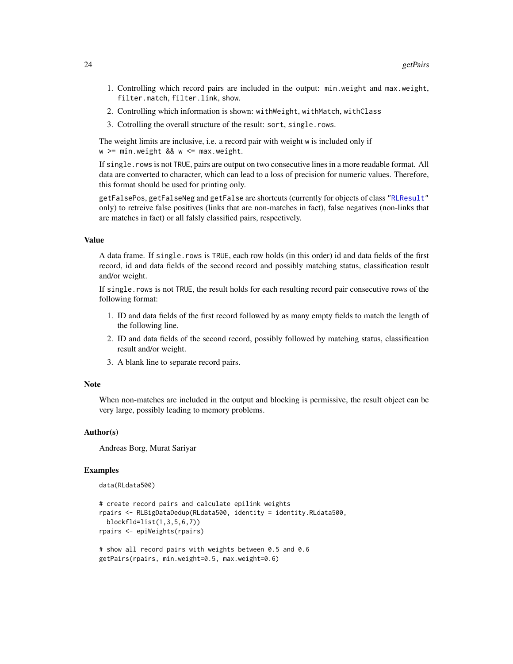- <span id="page-23-0"></span>1. Controlling which record pairs are included in the output: min.weight and max.weight, filter.match, filter.link, show.
- 2. Controlling which information is shown: withWeight, withMatch, withClass
- 3. Cotrolling the overall structure of the result: sort, single.rows.

The weight limits are inclusive, i.e. a record pair with weight w is included only if w >= min.weight && w <= max.weight.

If single.rows is not TRUE, pairs are output on two consecutive lines in a more readable format. All data are converted to character, which can lead to a loss of precision for numeric values. Therefore, this format should be used for printing only.

getFalsePos, getFalseNeg and getFalse are shortcuts (currently for objects of class ["RLResult"](#page-43-1) only) to retreive false positives (links that are non-matches in fact), false negatives (non-links that are matches in fact) or all falsly classified pairs, respectively.

# Value

A data frame. If single.rows is TRUE, each row holds (in this order) id and data fields of the first record, id and data fields of the second record and possibly matching status, classification result and/or weight.

If single.rows is not TRUE, the result holds for each resulting record pair consecutive rows of the following format:

- 1. ID and data fields of the first record followed by as many empty fields to match the length of the following line.
- 2. ID and data fields of the second record, possibly followed by matching status, classification result and/or weight.
- 3. A blank line to separate record pairs.

#### Note

When non-matches are included in the output and blocking is permissive, the result object can be very large, possibly leading to memory problems.

### Author(s)

Andreas Borg, Murat Sariyar

#### Examples

```
data(RLdata500)
```

```
# create record pairs and calculate epilink weights
rpairs <- RLBigDataDedup(RLdata500, identity = identity.RLdata500,
 blockfld=list(1,3,5,6,7))
rpairs <- epiWeights(rpairs)
# show all record pairs with weights between 0.5 and 0.6
```

```
getPairs(rpairs, min.weight=0.5, max.weight=0.6)
```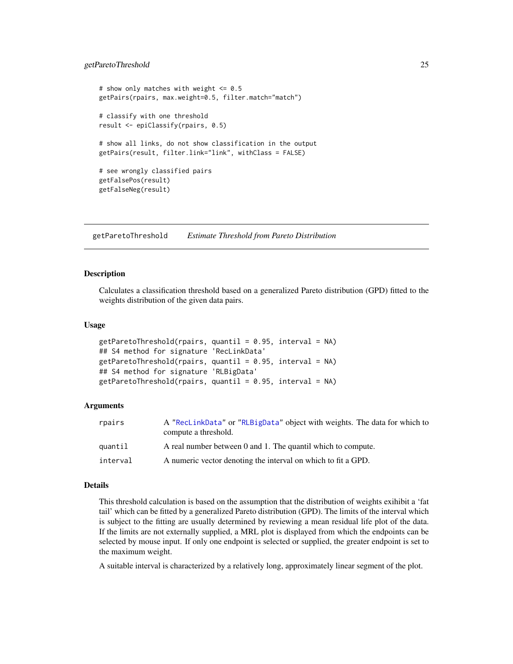### <span id="page-24-0"></span>getParetoThreshold 25

```
# show only matches with weight <= 0.5
getPairs(rpairs, max.weight=0.5, filter.match="match")
# classify with one threshold
result <- epiClassify(rpairs, 0.5)
# show all links, do not show classification in the output
getPairs(result, filter.link="link", withClass = FALSE)
# see wrongly classified pairs
getFalsePos(result)
getFalseNeg(result)
```
<span id="page-24-1"></span>getParetoThreshold *Estimate Threshold from Pareto Distribution*

### **Description**

Calculates a classification threshold based on a generalized Pareto distribution (GPD) fitted to the weights distribution of the given data pairs.

### Usage

```
getParetoThreshold(rpairs, quantil = 0.95, interval = NA)
## S4 method for signature 'RecLinkData'
getParetoThreshold(rpairs, quantil = 0.95, interval = NA)## S4 method for signature 'RLBigData'
getParetoThreshold(rpairs, quantil = 0.95, interval = NA)
```
### Arguments

| rpairs   | A "ReclinkData" or "RLBigData" object with weights. The data for which to<br>compute a threshold. |
|----------|---------------------------------------------------------------------------------------------------|
| quantil  | A real number between 0 and 1. The quantil which to compute.                                      |
| interval | A numeric vector denoting the interval on which to fit a GPD.                                     |

# Details

This threshold calculation is based on the assumption that the distribution of weights exihibit a 'fat tail' which can be fitted by a generalized Pareto distribution (GPD). The limits of the interval which is subject to the fitting are usually determined by reviewing a mean residual life plot of the data. If the limits are not externally supplied, a MRL plot is displayed from which the endpoints can be selected by mouse input. If only one endpoint is selected or supplied, the greater endpoint is set to the maximum weight.

A suitable interval is characterized by a relatively long, approximately linear segment of the plot.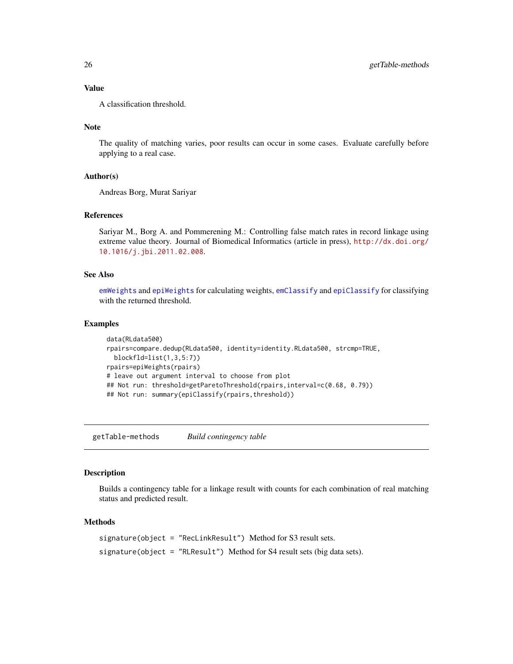# Value

A classification threshold.

# Note

The quality of matching varies, poor results can occur in some cases. Evaluate carefully before applying to a real case.

### Author(s)

Andreas Borg, Murat Sariyar

### References

Sariyar M., Borg A. and Pommerening M.: Controlling false match rates in record linkage using extreme value theory. Journal of Biomedical Informatics (article in press), [http://dx.doi.org/](http://dx.doi.org/10.1016/j.jbi.2011.02.008) [10.1016/j.jbi.2011.02.008](http://dx.doi.org/10.1016/j.jbi.2011.02.008).

### See Also

[emWeights](#page-11-1) and [epiWeights](#page-14-1) for calculating weights, [emClassify](#page-9-1) and [epiClassify](#page-12-1) for classifying with the returned threshold.

# Examples

```
data(RLdata500)
rpairs=compare.dedup(RLdata500, identity=identity.RLdata500, strcmp=TRUE,
 blockfld=list(1,3,5:7))
rpairs=epiWeights(rpairs)
# leave out argument interval to choose from plot
## Not run: threshold=getParetoThreshold(rpairs,interval=c(0.68, 0.79))
## Not run: summary(epiClassify(rpairs,threshold))
```
getTable-methods *Build contingency table*

### Description

Builds a contingency table for a linkage result with counts for each combination of real matching status and predicted result.

# Methods

signature(object = "RecLinkResult") Method for S3 result sets. signature(object = "RLResult") Method for S4 result sets (big data sets).

<span id="page-25-0"></span>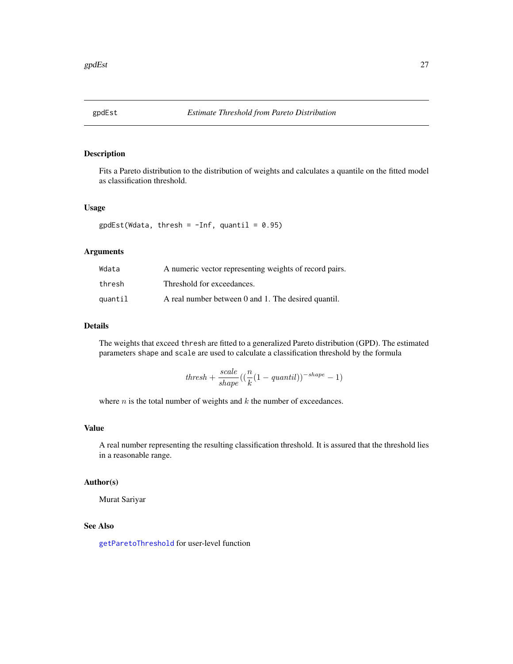<span id="page-26-0"></span>

Fits a Pareto distribution to the distribution of weights and calculates a quantile on the fitted model as classification threshold.

#### Usage

 $gp dEst(Wdata, thresh = -Inf, quantil = 0.95)$ 

# Arguments

| Wdata   | A numeric vector representing weights of record pairs. |
|---------|--------------------------------------------------------|
| thresh  | Threshold for exceedances.                             |
| quantil | A real number between 0 and 1. The desired quantil.    |

# Details

The weights that exceed thresh are fitted to a generalized Pareto distribution (GPD). The estimated parameters shape and scale are used to calculate a classification threshold by the formula

$$
thresh + \frac{scale}{shape}((\frac{n}{k}(1 - quantil))^{-shape} - 1)
$$

where  $n$  is the total number of weights and  $k$  the number of exceedances.

# Value

A real number representing the resulting classification threshold. It is assured that the threshold lies in a reasonable range.

### Author(s)

Murat Sariyar

# See Also

[getParetoThreshold](#page-24-1) for user-level function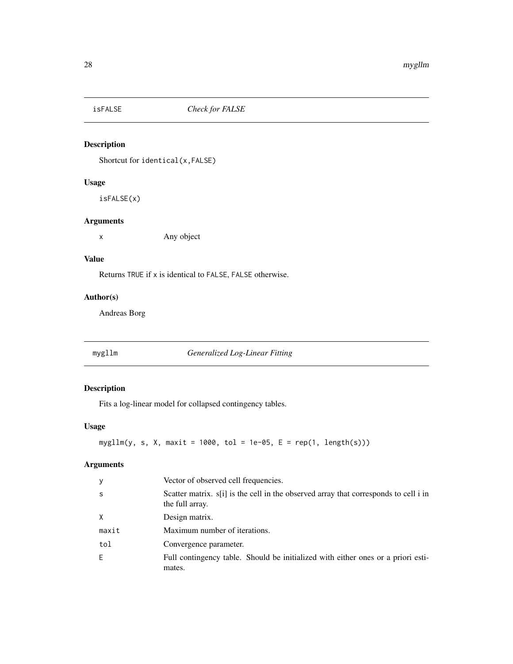<span id="page-27-0"></span>

Shortcut for identical(x,FALSE)

# Usage

isFALSE(x)

# Arguments

x Any object

# Value

Returns TRUE if x is identical to FALSE, FALSE otherwise.

# Author(s)

Andreas Borg

<span id="page-27-1"></span>mygllm *Generalized Log-Linear Fitting*

# Description

Fits a log-linear model for collapsed contingency tables.

# Usage

```
mygllm(y, s, X, maxit = 1000, tol = 1e-05, E = rep(1, length(s)))
```
# Arguments

| У            | Vector of observed cell frequencies.                                                                    |
|--------------|---------------------------------------------------------------------------------------------------------|
| <sub>S</sub> | Scatter matrix. s[i] is the cell in the observed array that corresponds to cell i in<br>the full array. |
| X            | Design matrix.                                                                                          |
| maxit        | Maximum number of iterations.                                                                           |
| tol          | Convergence parameter.                                                                                  |
| F            | Full contingency table. Should be initialized with either ones or a priori esti-<br>mates.              |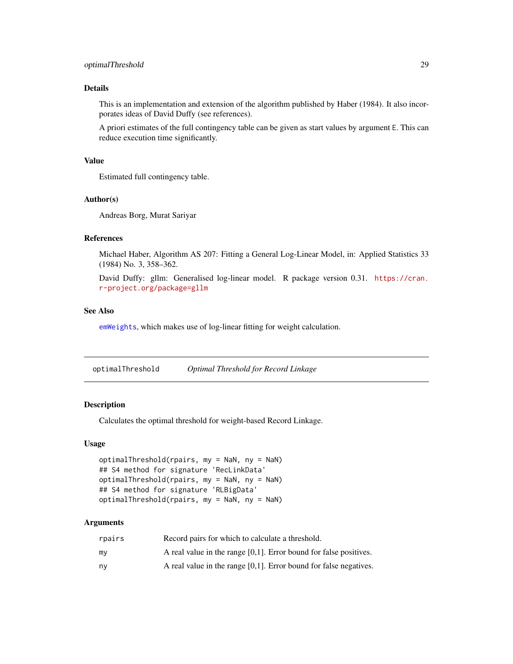# <span id="page-28-0"></span>Details

This is an implementation and extension of the algorithm published by Haber (1984). It also incorporates ideas of David Duffy (see references).

A priori estimates of the full contingency table can be given as start values by argument E. This can reduce execution time significantly.

# Value

Estimated full contingency table.

# Author(s)

Andreas Borg, Murat Sariyar

### References

Michael Haber, Algorithm AS 207: Fitting a General Log-Linear Model, in: Applied Statistics 33 (1984) No. 3, 358–362.

David Duffy: gllm: Generalised log-linear model. R package version 0.31. [https://cran.](https://cran.r-project.org/package=gllm) [r-project.org/package=gllm](https://cran.r-project.org/package=gllm)

### See Also

[emWeights](#page-11-1), which makes use of log-linear fitting for weight calculation.

optimalThreshold *Optimal Threshold for Record Linkage*

### Description

Calculates the optimal threshold for weight-based Record Linkage.

### Usage

```
optimalThreshold(rpairs, my = NaN, ny = NaN)
## S4 method for signature 'RecLinkData'
optimalThreshold(rpairs, my = NaN, ny = NaN)
## S4 method for signature 'RLBigData'
optimalThreshold(rpairs, my = NaN, ny = NaN)
```
### Arguments

| rpairs | Record pairs for which to calculate a threshold.                     |
|--------|----------------------------------------------------------------------|
| mv     | A real value in the range $[0,1]$ . Error bound for false positives. |
| n۷     | A real value in the range $[0,1]$ . Error bound for false negatives. |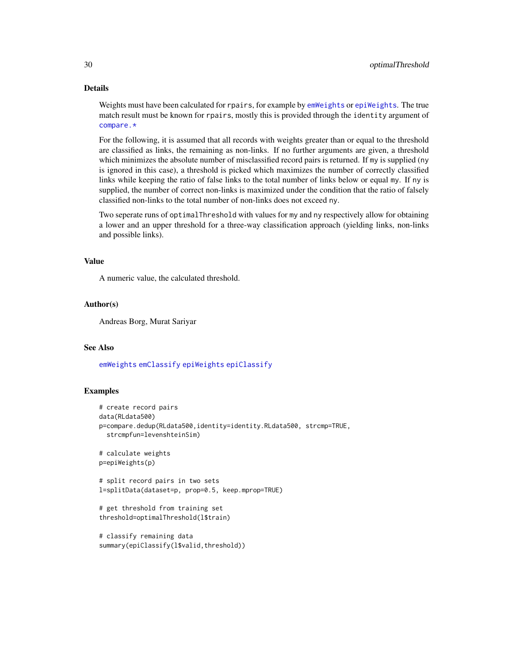# Details

Weights must have been calculated for rpairs, for example by [emWeights](#page-11-1) or [epiWeights](#page-14-1). The true match result must be known for rpairs, mostly this is provided through the identity argument of [compare.\\*](#page-5-1)

For the following, it is assumed that all records with weights greater than or equal to the threshold are classified as links, the remaining as non-links. If no further arguments are given, a threshold which minimizes the absolute number of misclassified record pairs is returned. If my is supplied (ny is ignored in this case), a threshold is picked which maximizes the number of correctly classified links while keeping the ratio of false links to the total number of links below or equal my. If ny is supplied, the number of correct non-links is maximized under the condition that the ratio of falsely classified non-links to the total number of non-links does not exceed ny.

Two seperate runs of optimalThreshold with values for my and ny respectively allow for obtaining a lower and an upper threshold for a three-way classification approach (yielding links, non-links and possible links).

#### Value

A numeric value, the calculated threshold.

# Author(s)

Andreas Borg, Murat Sariyar

### See Also

[emWeights](#page-11-1) [emClassify](#page-9-1) [epiWeights](#page-14-1) [epiClassify](#page-12-1)

## Examples

```
# create record pairs
data(RLdata500)
p=compare.dedup(RLdata500,identity=identity.RLdata500, strcmp=TRUE,
 strcmpfun=levenshteinSim)
# calculate weights
p=epiWeights(p)
# split record pairs in two sets
l=splitData(dataset=p, prop=0.5, keep.mprop=TRUE)
# get threshold from training set
threshold=optimalThreshold(l$train)
# classify remaining data
summary(epiClassify(l$valid,threshold))
```
<span id="page-29-0"></span>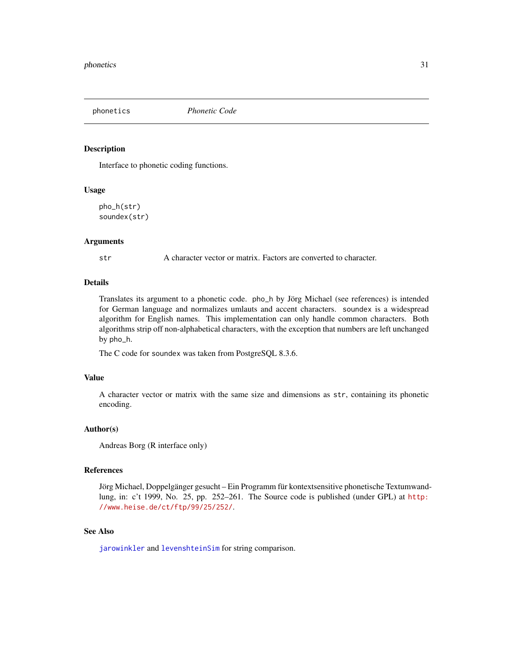<span id="page-30-2"></span><span id="page-30-1"></span><span id="page-30-0"></span>

Interface to phonetic coding functions.

# Usage

pho\_h(str) soundex(str)

### **Arguments**

str A character vector or matrix. Factors are converted to character.

# Details

Translates its argument to a phonetic code. pho\_h by Jörg Michael (see references) is intended for German language and normalizes umlauts and accent characters. soundex is a widespread algorithm for English names. This implementation can only handle common characters. Both algorithms strip off non-alphabetical characters, with the exception that numbers are left unchanged by pho\_h.

The C code for soundex was taken from PostgreSQL 8.3.6.

# Value

A character vector or matrix with the same size and dimensions as str, containing its phonetic encoding.

### Author(s)

Andreas Borg (R interface only)

# References

Jörg Michael, Doppelgänger gesucht – Ein Programm für kontextsensitive phonetische Textumwandlung, in: c't 1999, No. 25, pp. 252–261. The Source code is published (under GPL) at [http:](http://www.heise.de/ct/ftp/99/25/252/) [//www.heise.de/ct/ftp/99/25/252/](http://www.heise.de/ct/ftp/99/25/252/).

# See Also

[jarowinkler](#page-48-1) and [levenshteinSim](#page-48-1) for string comparison.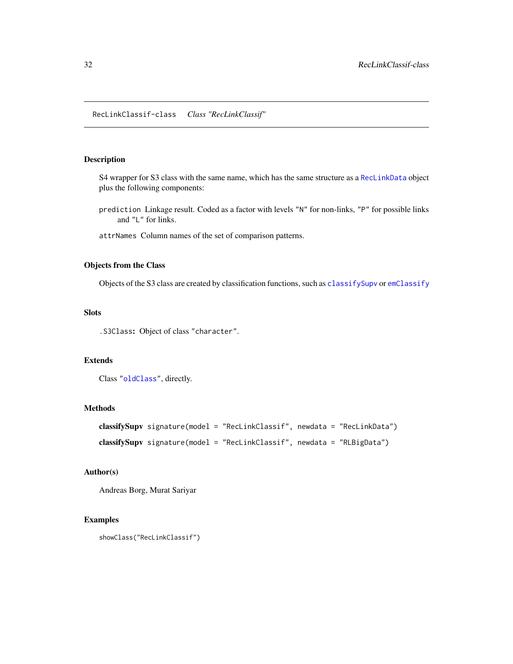<span id="page-31-0"></span>S4 wrapper for S3 class with the same name, which has the same structure as a [RecLinkData](#page-33-1) object plus the following components:

- prediction Linkage result. Coded as a factor with levels "N" for non-links, "P" for possible links and "L" for links.
- attrNames Column names of the set of comparison patterns.

### Objects from the Class

Objects of the S3 class are created by classification functions, such as [classifySupv](#page-2-1) or [emClassify](#page-9-1)

# **Slots**

.S3Class: Object of class "character".

# Extends

```
Class "oldClass", directly.
```
# Methods

```
classifySupv signature(model = "RecLinkClassif", newdata = "RecLinkData")
classifySupv signature(model = "RecLinkClassif", newdata = "RLBigData")
```
# Author(s)

Andreas Borg, Murat Sariyar

### Examples

```
showClass("RecLinkClassif")
```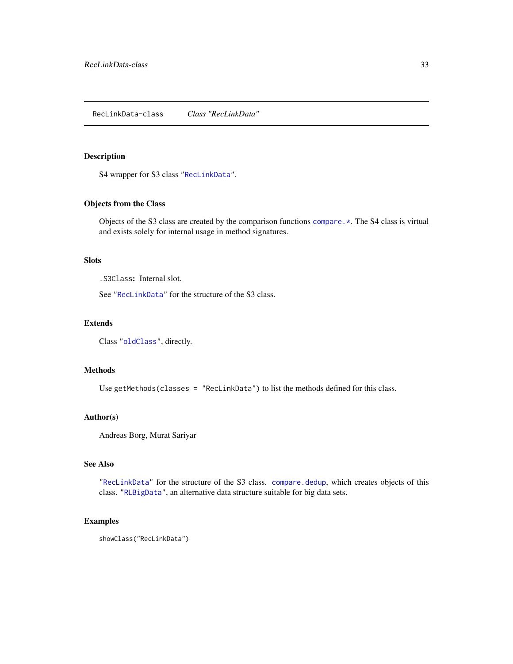<span id="page-32-1"></span><span id="page-32-0"></span>S4 wrapper for S3 class ["RecLinkData"](#page-33-1).

# Objects from the Class

Objects of the S3 class are created by the comparison functions [compare.\\*](#page-5-1). The S4 class is virtual and exists solely for internal usage in method signatures.

# Slots

.S3Class: Internal slot.

See ["RecLinkData"](#page-33-1) for the structure of the S3 class.

# Extends

Class ["oldClass"](#page-0-0), directly.

### Methods

Use getMethods(classes = "RecLinkData") to list the methods defined for this class.

#### Author(s)

Andreas Borg, Murat Sariyar

# See Also

["RecLinkData"](#page-33-1) for the structure of the S3 class. [compare.dedup](#page-5-1), which creates objects of this class. ["RLBigData"](#page-36-1), an alternative data structure suitable for big data sets.

# Examples

showClass("RecLinkData")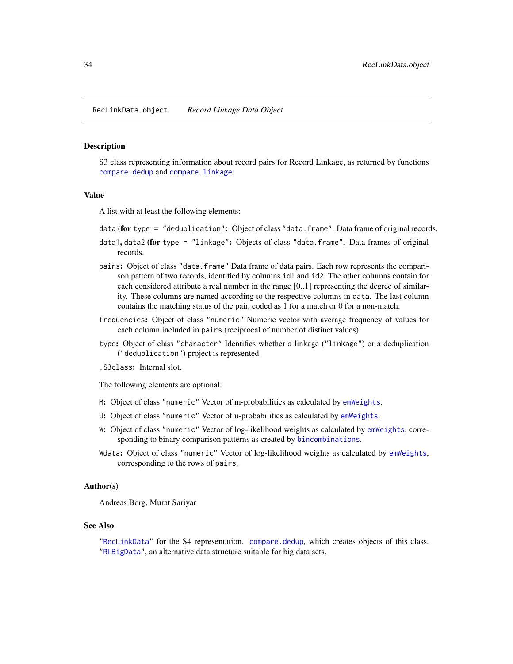<span id="page-33-2"></span><span id="page-33-0"></span>RecLinkData.object *Record Linkage Data Object*

### <span id="page-33-1"></span>Description

S3 class representing information about record pairs for Record Linkage, as returned by functions [compare.dedup](#page-5-1) and [compare.linkage](#page-5-1).

#### Value

A list with at least the following elements:

- data (for type = "deduplication": Object of class "data.frame". Data frame of original records.
- data1, data2 (for type = "linkage": Objects of class "data.frame". Data frames of original records.
- pairs: Object of class "data.frame" Data frame of data pairs. Each row represents the comparison pattern of two records, identified by columns id1 and id2. The other columns contain for each considered attribute a real number in the range [0..1] representing the degree of similarity. These columns are named according to the respective columns in data. The last column contains the matching status of the pair, coded as 1 for a match or 0 for a non-match.
- frequencies: Object of class "numeric" Numeric vector with average frequency of values for each column included in pairs (reciprocal of number of distinct values).
- type: Object of class "character" Identifies whether a linkage ("linkage") or a deduplication ("deduplication") project is represented.
- .S3class: Internal slot.

The following elements are optional:

- M: Object of class "numeric" Vector of m-probabilities as calculated by [emWeights](#page-11-1).
- U: Object of class "numeric" Vector of u-probabilities as calculated by [emWeights](#page-11-1).
- W: Object of class "numeric" Vector of log-likelihood weights as calculated by [emWeights](#page-11-1), corresponding to binary comparison patterns as created by [bincombinations](#page-0-0).
- Wdata: Object of class "numeric" Vector of log-likelihood weights as calculated by [emWeights](#page-11-1), corresponding to the rows of pairs.

#### Author(s)

Andreas Borg, Murat Sariyar

### See Also

["RecLinkData"](#page-32-1) for the S4 representation. [compare.dedup](#page-5-1), which creates objects of this class. ["RLBigData"](#page-36-1), an alternative data structure suitable for big data sets.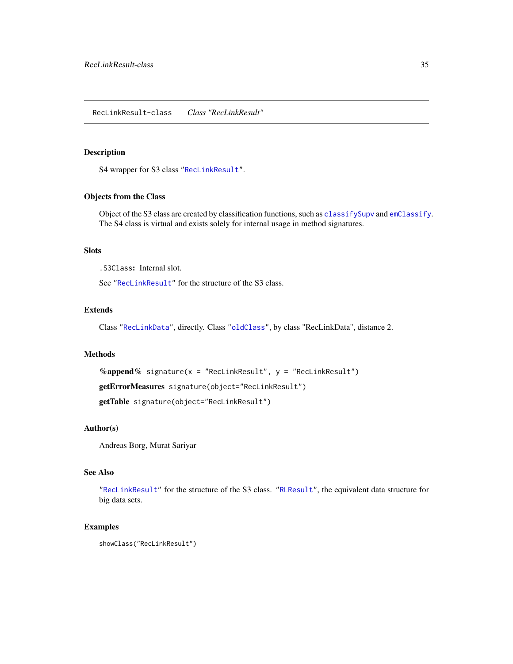<span id="page-34-1"></span><span id="page-34-0"></span>S4 wrapper for S3 class ["RecLinkResult"](#page-35-1).

### Objects from the Class

Object of the S3 class are created by classification functions, such as [classifySupv](#page-2-1) and [emClassify](#page-9-1). The S4 class is virtual and exists solely for internal usage in method signatures.

# **Slots**

.S3Class: Internal slot.

See ["RecLinkResult"](#page-35-1) for the structure of the S3 class.

# Extends

Class ["RecLinkData"](#page-32-1), directly. Class ["oldClass"](#page-0-0), by class "RecLinkData", distance 2.

#### Methods

%append% signature( $x =$  "RecLinkResult",  $y =$  "RecLinkResult") getErrorMeasures signature(object="RecLinkResult") getTable signature(object="RecLinkResult")

# Author(s)

Andreas Borg, Murat Sariyar

# See Also

["RecLinkResult"](#page-35-1) for the structure of the S3 class. ["RLResult"](#page-43-1), the equivalent data structure for big data sets.

### Examples

showClass("RecLinkResult")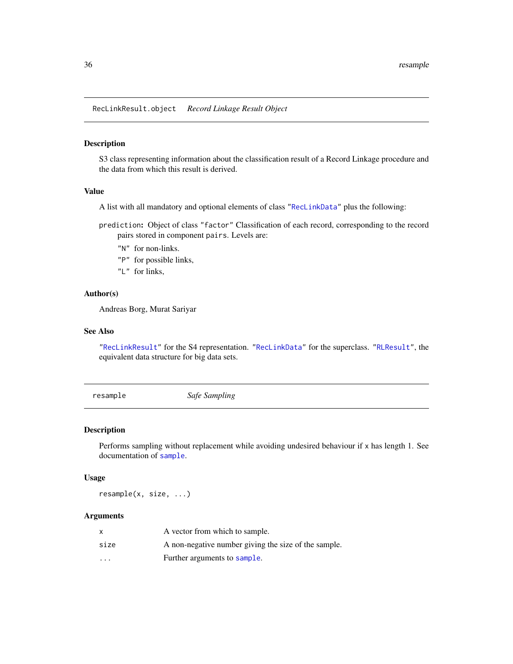<span id="page-35-0"></span>RecLinkResult.object *Record Linkage Result Object*

# <span id="page-35-1"></span>Description

S3 class representing information about the classification result of a Record Linkage procedure and the data from which this result is derived.

# Value

A list with all mandatory and optional elements of class ["RecLinkData"](#page-33-1) plus the following:

prediction: Object of class "factor" Classification of each record, corresponding to the record pairs stored in component pairs. Levels are:

- "N" for non-links.
- "P" for possible links,
- "L" for links,

# Author(s)

Andreas Borg, Murat Sariyar

# See Also

["RecLinkResult"](#page-34-1) for the S4 representation. ["RecLinkData"](#page-33-1) for the superclass. ["RLResult"](#page-43-1), the equivalent data structure for big data sets.

resample *Safe Sampling*

### Description

Performs sampling without replacement while avoiding undesired behaviour if x has length 1. See documentation of [sample](#page-0-0).

#### Usage

resample(x, size, ...)

# Arguments

| x                       | A vector from which to sample.                       |
|-------------------------|------------------------------------------------------|
| size                    | A non-negative number giving the size of the sample. |
| $\cdot$ $\cdot$ $\cdot$ | Further arguments to sample.                         |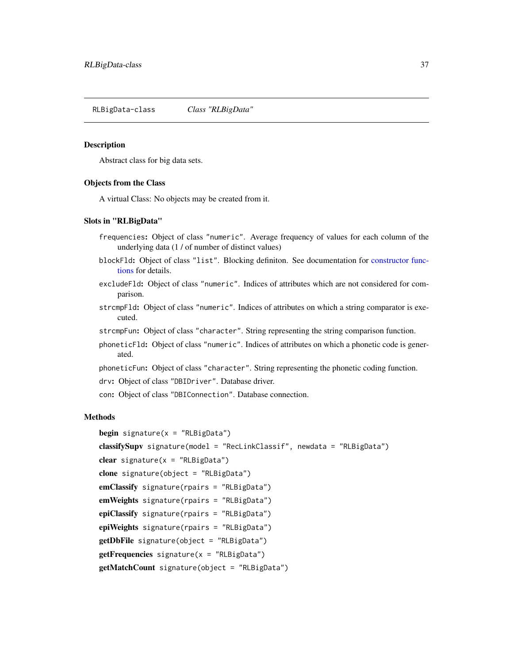<span id="page-36-1"></span><span id="page-36-0"></span>RLBigData-class *Class "RLBigData"*

#### Description

Abstract class for big data sets.

#### Objects from the Class

A virtual Class: No objects may be created from it.

# Slots in "RLBigData"

- frequencies: Object of class "numeric". Average frequency of values for each column of the underlying data (1 / of number of distinct values)
- blockFld: Object of class "list". Blocking definiton. See documentation for [constructor func](#page-37-1)[tions](#page-37-1) for details.
- excludeFld: Object of class "numeric". Indices of attributes which are not considered for comparison.
- strcmpFld: Object of class "numeric". Indices of attributes on which a string comparator is executed.
- strcmpFun: Object of class "character". String representing the string comparison function.
- phoneticFld: Object of class "numeric". Indices of attributes on which a phonetic code is generated.
- phoneticFun: Object of class "character". String representing the phonetic coding function.
- drv: Object of class "DBIDriver". Database driver.
- con: Object of class "DBIConnection". Database connection.

### Methods

```
begin signature(x = "RLBigData")classifySupv signature(model = "RecLinkClassif", newdata = "RLBigData")
clear signature(x = "RLBigData")clone signature(object = "RLBigData")
emClassify signature(rpairs = "RLBigData")
emWeights signature(rpairs = "RLBigData")
epiClassify signature(rpairs = "RLBigData")
epiWeights signature(rpairs = "RLBigData")
getDbFile signature(object = "RLBigData")
getFrequencies signature(x = "RLBigData")
getMatchCount signature(object = "RLBigData")
```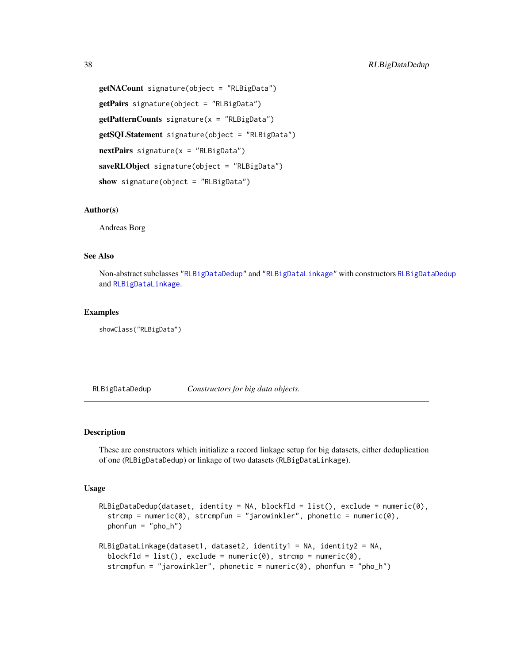```
getNACount signature(object = "RLBigData")
getPairs signature(object = "RLBigData")
getPatternCounts signature(x = "RLBigData")
getSQLStatement signature(object = "RLBigData")
nextPairs signature(x = "RLBigData")saveRLObject signature(object = "RLBigData")
show signature(object = "RLBigData")
```
# Author(s)

Andreas Borg

# See Also

Non-abstract subclasses ["RLBigDataDedup"](#page-40-1) and ["RLBigDataLinkage"](#page-41-1) with constructors [RLBigDataDedup](#page-37-1) and [RLBigDataLinkage](#page-37-2).

### Examples

```
showClass("RLBigData")
```
<span id="page-37-1"></span>RLBigDataDedup *Constructors for big data objects.*

## <span id="page-37-2"></span>Description

These are constructors which initialize a record linkage setup for big datasets, either deduplication of one (RLBigDataDedup) or linkage of two datasets (RLBigDataLinkage).

### Usage

```
RLBigDataDedup(dataset, identity = NA, blockfld = list(), exclude = numeric(0),
  strom = numeric(0), stromfunc = "jarowinkler", phonetic = numeric(0),
 phonfun = "pho_h")RLBigDataLinkage(dataset1, dataset2, identity1 = NA, identity2 = NA,
 blockfld = list(), exclude = numeric(0), strcmp = numeric(0),
  strcmpfun = "jarowinkler", phonetic = numeric(0), phonfun = "pho_h")
```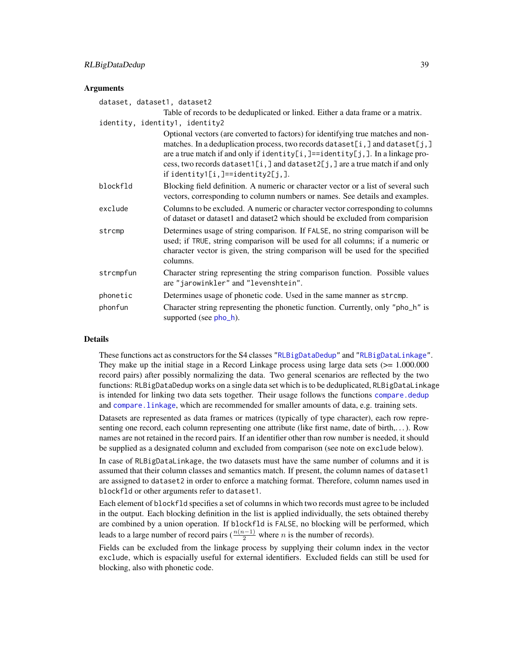# <span id="page-38-0"></span>RLBigDataDedup 39

# **Arguments**

| dataset, dataset1, dataset2 |                                                                                                                                                                                                                                                                                                                                                                        |
|-----------------------------|------------------------------------------------------------------------------------------------------------------------------------------------------------------------------------------------------------------------------------------------------------------------------------------------------------------------------------------------------------------------|
|                             | Table of records to be deduplicated or linked. Either a data frame or a matrix.                                                                                                                                                                                                                                                                                        |
|                             | identity, identity1, identity2                                                                                                                                                                                                                                                                                                                                         |
|                             | Optional vectors (are converted to factors) for identifying true matches and non-<br>matches. In a deduplication process, two records dataset[i,] and dataset[j,]<br>are a true match if and only if identity[i,]==identity[j,]. In a linkage pro-<br>cess, two records dataset1[i,] and dataset2[j,] are a true match if and only<br>if identity1[i,]==identity2[j,]. |
| blockfld                    | Blocking field definition. A numeric or character vector or a list of several such<br>vectors, corresponding to column numbers or names. See details and examples.                                                                                                                                                                                                     |
| exclude                     | Columns to be excluded. A numeric or character vector corresponding to columns<br>of dataset or dataset1 and dataset2 which should be excluded from comparision                                                                                                                                                                                                        |
| strcmp                      | Determines usage of string comparison. If FALSE, no string comparison will be<br>used; if TRUE, string comparison will be used for all columns; if a numeric or<br>character vector is given, the string comparison will be used for the specified<br>columns.                                                                                                         |
| strcmpfun                   | Character string representing the string comparison function. Possible values<br>are "jarowinkler" and "levenshtein".                                                                                                                                                                                                                                                  |
| phonetic                    | Determines usage of phonetic code. Used in the same manner as stromp.                                                                                                                                                                                                                                                                                                  |
| phonfun                     | Character string representing the phonetic function. Currently, only "pho_h" is<br>supported (see pho_h).                                                                                                                                                                                                                                                              |

# Details

These functions act as constructors for the S4 classes ["RLBigDataDedup"](#page-40-1) and ["RLBigDataLinkage"](#page-41-1). They make up the initial stage in a Record Linkage process using large data sets  $(>= 1.000.000$ record pairs) after possibly normalizing the data. Two general scenarios are reflected by the two functions: RLBigDataDedup works on a single data set which is to be deduplicated, RLBigDataLinkage is intended for linking two data sets together. Their usage follows the functions [compare.dedup](#page-5-1) and [compare.linkage](#page-5-1), which are recommended for smaller amounts of data, e.g. training sets.

Datasets are represented as data frames or matrices (typically of type character), each row representing one record, each column representing one attribute (like first name, date of birth,...). Row names are not retained in the record pairs. If an identifier other than row number is needed, it should be supplied as a designated column and excluded from comparison (see note on exclude below).

In case of RLBigDataLinkage, the two datasets must have the same number of columns and it is assumed that their column classes and semantics match. If present, the column names of dataset1 are assigned to dataset2 in order to enforce a matching format. Therefore, column names used in blockfld or other arguments refer to dataset1.

Each element of blockfld specifies a set of columns in which two records must agree to be included in the output. Each blocking definition in the list is applied individually, the sets obtained thereby are combined by a union operation. If blockfld is FALSE, no blocking will be performed, which leads to a large number of record pairs ( $\frac{n(n-1)}{2}$  where *n* is the number of records).

Fields can be excluded from the linkage process by supplying their column index in the vector exclude, which is espacially useful for external identifiers. Excluded fields can still be used for blocking, also with phonetic code.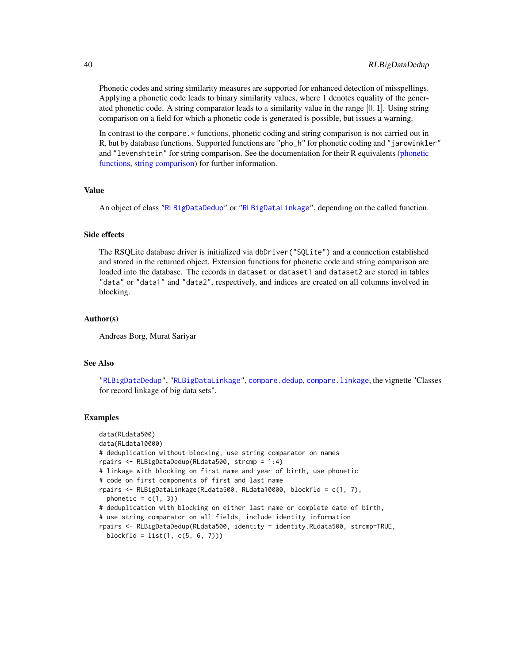Phonetic codes and string similarity measures are supported for enhanced detection of misspellings. Applying a phonetic code leads to binary similarity values, where 1 denotes equality of the generated phonetic code. A string comparator leads to a similarity value in the range  $[0, 1]$ . Using string comparison on a field for which a phonetic code is generated is possible, but issues a warning.

In contrast to the compare. \* functions, phonetic coding and string comparison is not carried out in R, but by database functions. Supported functions are "pho\_h" for phonetic coding and "jarowinkler" and "levenshtein" for string comparison. See the documentation for their R equivalents [\(phonetic](#page-30-1) [functions,](#page-30-1) [string comparison\)](#page-48-2) for further information.

#### Value

An object of class ["RLBigDataDedup"](#page-40-1) or ["RLBigDataLinkage"](#page-41-1), depending on the called function.

### Side effects

The RSQLite database driver is initialized via dbDriver("SQLite") and a connection established and stored in the returned object. Extension functions for phonetic code and string comparison are loaded into the database. The records in dataset or dataset1 and dataset2 are stored in tables "data" or "data1" and "data2", respectively, and indices are created on all columns involved in blocking.

### Author(s)

Andreas Borg, Murat Sariyar

### See Also

["RLBigDataDedup"](#page-40-1), ["RLBigDataLinkage"](#page-41-1), [compare.dedup](#page-5-1), [compare.linkage](#page-5-1), the vignette "Classes for record linkage of big data sets".

#### Examples

```
data(RLdata500)
data(RLdata10000)
# deduplication without blocking, use string comparator on names
rpairs <- RLBigDataDedup(RLdata500, strcmp = 1:4)
# linkage with blocking on first name and year of birth, use phonetic
# code on first components of first and last name
rpairs <- RLBigDataLinkage(RLdata500, RLdata10000, blockfld = c(1, 7),
 phonetic = c(1, 3))
# deduplication with blocking on either last name or complete date of birth,
# use string comparator on all fields, include identity information
rpairs <- RLBigDataDedup(RLdata500, identity = identity.RLdata500, strcmp=TRUE,
 blockfld = list(1, c(5, 6, 7)))
```
<span id="page-39-0"></span>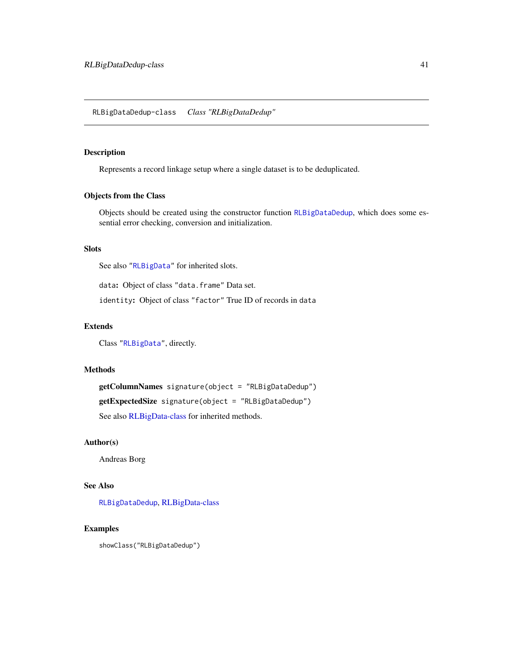<span id="page-40-1"></span><span id="page-40-0"></span>RLBigDataDedup-class *Class "RLBigDataDedup"*

# Description

Represents a record linkage setup where a single dataset is to be deduplicated.

# Objects from the Class

Objects should be created using the constructor function [RLBigDataDedup](#page-37-1), which does some essential error checking, conversion and initialization.

# Slots

See also ["RLBigData"](#page-36-1) for inherited slots.

data: Object of class "data.frame" Data set.

identity: Object of class "factor" True ID of records in data

# Extends

Class ["RLBigData"](#page-36-1), directly.

# Methods

getColumnNames signature(object = "RLBigDataDedup") getExpectedSize signature(object = "RLBigDataDedup") See also [RLBigData-class](#page-36-1) for inherited methods.

# Author(s)

Andreas Borg

# See Also

[RLBigDataDedup](#page-37-1), [RLBigData-class](#page-36-1)

# Examples

showClass("RLBigDataDedup")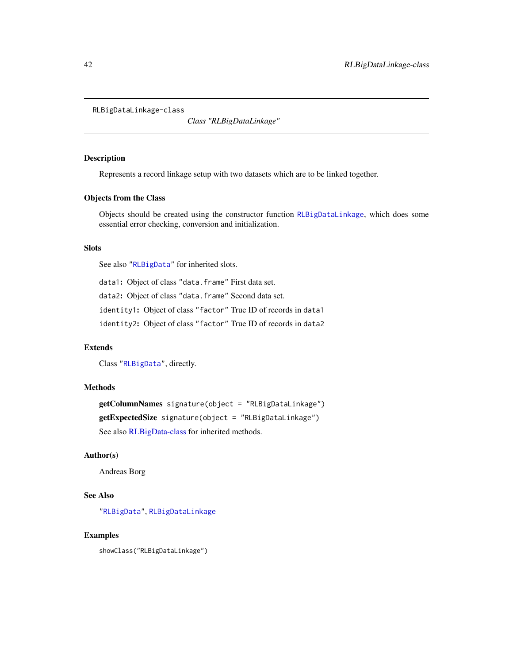<span id="page-41-1"></span><span id="page-41-0"></span>RLBigDataLinkage-class

*Class "RLBigDataLinkage"*

### Description

Represents a record linkage setup with two datasets which are to be linked together.

# Objects from the Class

Objects should be created using the constructor function [RLBigDataLinkage](#page-37-2), which does some essential error checking, conversion and initialization.

# Slots

See also ["RLBigData"](#page-36-1) for inherited slots.

data1: Object of class "data.frame" First data set. data2: Object of class "data.frame" Second data set. identity1: Object of class "factor" True ID of records in data1 identity2: Object of class "factor" True ID of records in data2

### Extends

Class ["RLBigData"](#page-36-1), directly.

# Methods

getColumnNames signature(object = "RLBigDataLinkage") getExpectedSize signature(object = "RLBigDataLinkage") See also [RLBigData-class](#page-36-1) for inherited methods.

# Author(s)

Andreas Borg

# See Also

["RLBigData"](#page-36-1), [RLBigDataLinkage](#page-37-2)

### Examples

showClass("RLBigDataLinkage")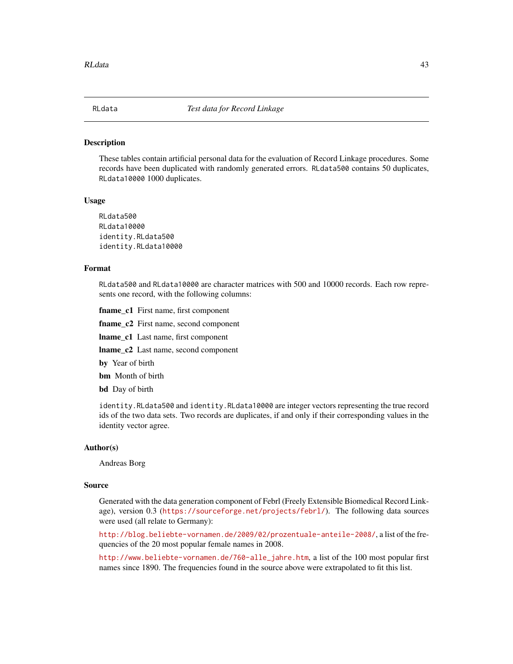<span id="page-42-0"></span>These tables contain artificial personal data for the evaluation of Record Linkage procedures. Some records have been duplicated with randomly generated errors. RLdata500 contains 50 duplicates, RLdata10000 1000 duplicates.

#### Usage

RLdata500 RLdata10000 identity.RLdata500 identity.RLdata10000

# Format

RLdata500 and RLdata10000 are character matrices with 500 and 10000 records. Each row represents one record, with the following columns:

fname\_c1 First name, first component

fname c<sub>2</sub> First name, second component

lname\_c1 Last name, first component

lname\_c2 Last name, second component

by Year of birth

**bm** Month of birth

**bd** Day of birth

identity.RLdata500 and identity.RLdata10000 are integer vectors representing the true record ids of the two data sets. Two records are duplicates, if and only if their corresponding values in the identity vector agree.

### Author(s)

Andreas Borg

# Source

Generated with the data generation component of Febrl (Freely Extensible Biomedical Record Linkage), version 0.3 (<https://sourceforge.net/projects/febrl/>). The following data sources were used (all relate to Germany):

<http://blog.beliebte-vornamen.de/2009/02/prozentuale-anteile-2008/>, a list of the frequencies of the 20 most popular female names in 2008.

[http://www.beliebte-vornamen.de/760-alle\\_jahre.htm](http://www.beliebte-vornamen.de/760-alle_jahre.htm), a list of the 100 most popular first names since 1890. The frequencies found in the source above were extrapolated to fit this list.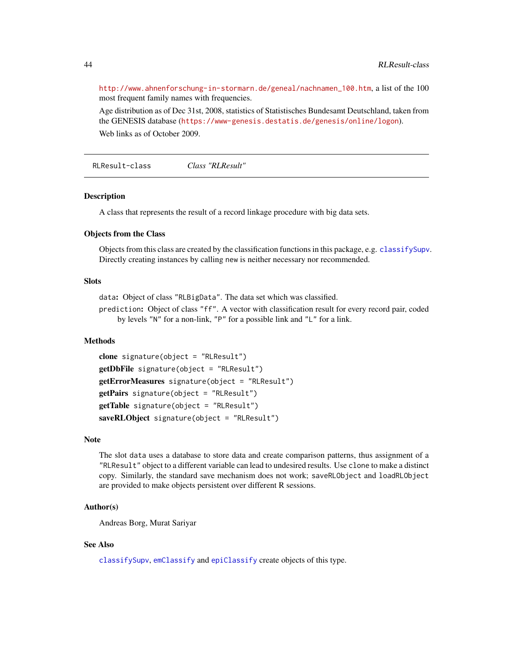[http://www.ahnenforschung-in-stormarn.de/geneal/nachnamen\\_100.htm](http://www.ahnenforschung-in-stormarn.de/geneal/nachnamen_100.htm), a list of the 100 most frequent family names with frequencies.

Age distribution as of Dec 31st, 2008, statistics of Statistisches Bundesamt Deutschland, taken from the GENESIS database (<https://www-genesis.destatis.de/genesis/online/logon>). Web links as of October 2009.

<span id="page-43-1"></span>RLResult-class *Class "RLResult"*

### Description

A class that represents the result of a record linkage procedure with big data sets.

### Objects from the Class

Objects from this class are created by the classification functions in this package, e.g. [classifySupv](#page-2-1). Directly creating instances by calling new is neither necessary nor recommended.

# **Slots**

data: Object of class "RLBigData". The data set which was classified.

prediction: Object of class "ff". A vector with classification result for every record pair, coded by levels "N" for a non-link, "P" for a possible link and "L" for a link.

# Methods

```
clone signature(object = "RLResult")
getDbFile signature(object = "RLResult")
getErrorMeasures signature(object = "RLResult")
getPairs signature(object = "RLResult")
getTable signature(object = "RLResult")
saveRLObject signature(object = "RLResult")
```
#### Note

The slot data uses a database to store data and create comparison patterns, thus assignment of a "RLResult" object to a different variable can lead to undesired results. Use clone to make a distinct copy. Similarly, the standard save mechanism does not work; saveRLObject and loadRLObject are provided to make objects persistent over different R sessions.

# Author(s)

Andreas Borg, Murat Sariyar

### See Also

[classifySupv](#page-2-1), [emClassify](#page-9-1) and [epiClassify](#page-12-1) create objects of this type.

<span id="page-43-0"></span>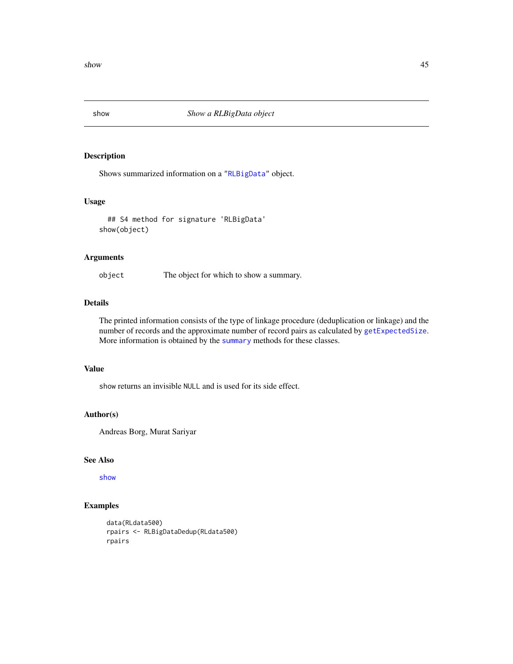<span id="page-44-0"></span> $s$ how  $45$ 

<span id="page-44-1"></span>

# Description

Shows summarized information on a ["RLBigData"](#page-36-1) object.

### Usage

```
## S4 method for signature 'RLBigData'
show(object)
```
# Arguments

object The object for which to show a summary.

# Details

The printed information consists of the type of linkage procedure (deduplication or linkage) and the number of records and the approximate number of record pairs as calculated by [getExpectedSize](#page-19-1). More information is obtained by the [summary](#page-51-1) methods for these classes.

# Value

show returns an invisible NULL and is used for its side effect.

# Author(s)

Andreas Borg, Murat Sariyar

### See Also

[show](#page-44-1)

# Examples

```
data(RLdata500)
rpairs <- RLBigDataDedup(RLdata500)
rpairs
```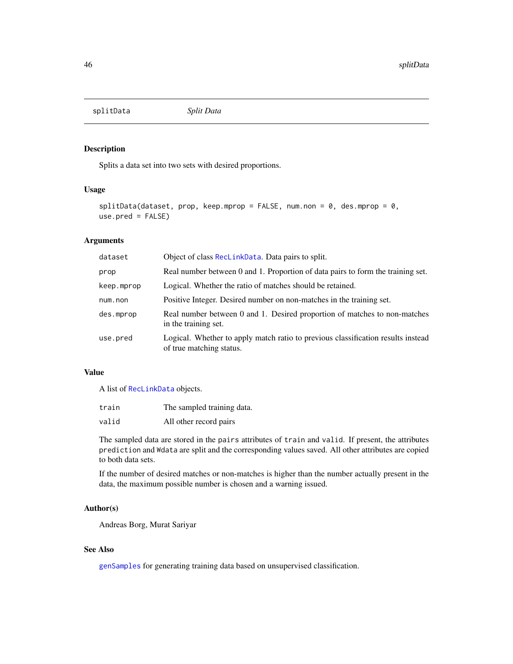<span id="page-45-1"></span><span id="page-45-0"></span>splitData *Split Data*

### Description

Splits a data set into two sets with desired proportions.

### Usage

```
splitData(dataset, prop, keep.mprop = FALSE, num.non = 0, des.mprop = 0,use.pred = FALSE)
```
# Arguments

| dataset    | Object of class RecLinkData. Data pairs to split.                                                            |
|------------|--------------------------------------------------------------------------------------------------------------|
| prop       | Real number between 0 and 1. Proportion of data pairs to form the training set.                              |
| keep.mprop | Logical. Whether the ratio of matches should be retained.                                                    |
| num.non    | Positive Integer. Desired number on non-matches in the training set.                                         |
| des.mprop  | Real number between 0 and 1. Desired proportion of matches to non-matches<br>in the training set.            |
| use.pred   | Logical. Whether to apply match ratio to previous classification results instead<br>of true matching status. |

# Value

A list of [RecLinkData](#page-33-1) objects.

| train | The sampled training data. |
|-------|----------------------------|
| valid | All other record pairs     |

The sampled data are stored in the pairs attributes of train and valid. If present, the attributes prediction and Wdata are split and the corresponding values saved. All other attributes are copied to both data sets.

If the number of desired matches or non-matches is higher than the number actually present in the data, the maximum possible number is chosen and a warning issued.

### Author(s)

Andreas Borg, Murat Sariyar

# See Also

[genSamples](#page-17-1) for generating training data based on unsupervised classification.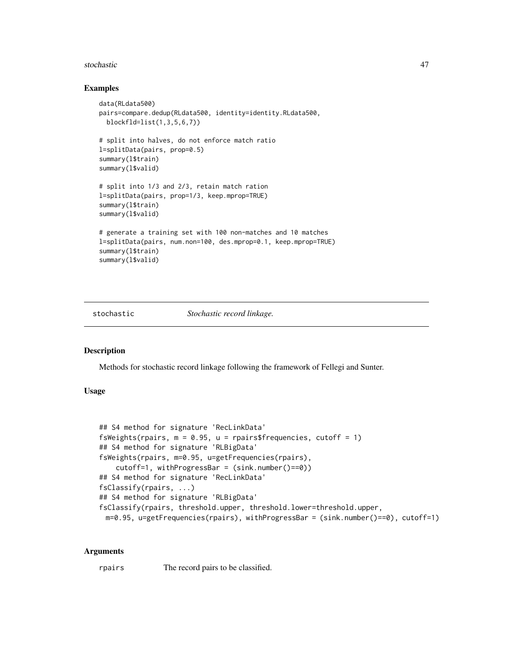#### <span id="page-46-0"></span>stochastic 47

### Examples

```
data(RLdata500)
pairs=compare.dedup(RLdata500, identity=identity.RLdata500,
 blockfld=list(1,3,5,6,7))
# split into halves, do not enforce match ratio
l=splitData(pairs, prop=0.5)
summary(l$train)
summary(l$valid)
# split into 1/3 and 2/3, retain match ration
l=splitData(pairs, prop=1/3, keep.mprop=TRUE)
summary(l$train)
summary(l$valid)
# generate a training set with 100 non-matches and 10 matches
l=splitData(pairs, num.non=100, des.mprop=0.1, keep.mprop=TRUE)
summary(l$train)
summary(l$valid)
```
stochastic *Stochastic record linkage.*

# Description

Methods for stochastic record linkage following the framework of Fellegi and Sunter.

# Usage

```
## S4 method for signature 'RecLinkData'
fsWeights(rpairs, m = 0.95, u = \text{rpairsfrequency}, cutoff = 1)
## S4 method for signature 'RLBigData'
fsWeights(rpairs, m=0.95, u=getFrequencies(rpairs),
    cutoff=1, withProgressBar = (sink.number()==0))
## S4 method for signature 'RecLinkData'
fsClassify(rpairs, ...)
## S4 method for signature 'RLBigData'
fsClassify(rpairs, threshold.upper, threshold.lower=threshold.upper,
 m=0.95, u=getFrequencies(rpairs), withProgressBar = (sink.number()==0), cutoff=1)
```
### Arguments

rpairs The record pairs to be classified.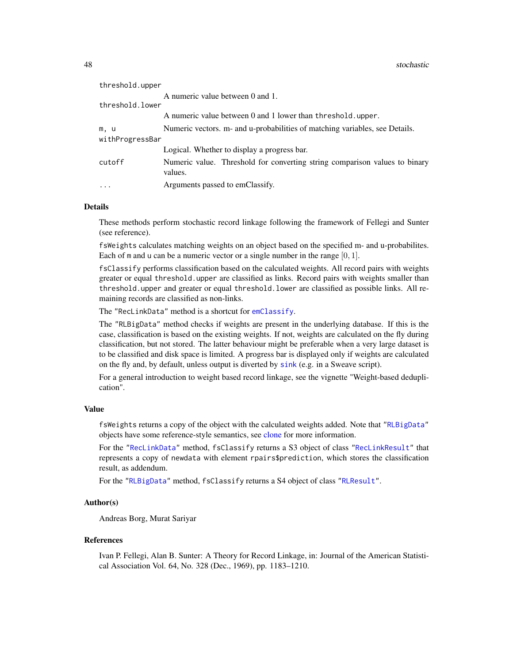<span id="page-47-0"></span>48 stochastic contract of the stochastic contract of the stochastic stochastic stochastic stochastic stochastic

| threshold.upper |                                                                                       |
|-----------------|---------------------------------------------------------------------------------------|
|                 | A numeric value between 0 and 1.                                                      |
| threshold.lower |                                                                                       |
|                 | A numeric value between 0 and 1 lower than threshold.upper.                           |
| m, u            | Numeric vectors. m- and u-probabilities of matching variables, see Details.           |
| withProgressBar |                                                                                       |
|                 | Logical. Whether to display a progress bar.                                           |
| cutoff          | Numeric value. Threshold for converting string comparison values to binary<br>values. |
| .               | Arguments passed to emClassify.                                                       |
|                 |                                                                                       |

# Details

These methods perform stochastic record linkage following the framework of Fellegi and Sunter (see reference).

fsWeights calculates matching weights on an object based on the specified m- and u-probabilites. Each of  $m$  and  $u$  can be a numeric vector or a single number in the range  $[0, 1]$ .

fsClassify performs classification based on the calculated weights. All record pairs with weights greater or equal threshold.upper are classified as links. Record pairs with weights smaller than threshold.upper and greater or equal threshold.lower are classified as possible links. All remaining records are classified as non-links.

The "RecLinkData" method is a shortcut for [emClassify](#page-9-1).

The "RLBigData" method checks if weights are present in the underlying database. If this is the case, classification is based on the existing weights. If not, weights are calculated on the fly during classification, but not stored. The latter behaviour might be preferable when a very large dataset is to be classified and disk space is limited. A progress bar is displayed only if weights are calculated on the fly and, by default, unless output is diverted by [sink](#page-0-0) (e.g. in a Sweave script).

For a general introduction to weight based record linkage, see the vignette "Weight-based deduplication".

#### Value

fsWeights returns a copy of the object with the calculated weights added. Note that ["RLBigData"](#page-36-1) objects have some reference-style semantics, see [clone](#page-4-1) for more information.

For the ["RecLinkData"](#page-33-1) method, fsClassify returns a S3 object of class ["RecLinkResult"](#page-35-1) that represents a copy of newdata with element rpairs\$prediction, which stores the classification result, as addendum.

For the ["RLBigData"](#page-36-1) method, fsClassify returns a S4 object of class ["RLResult"](#page-43-1).

# Author(s)

Andreas Borg, Murat Sariyar

### References

Ivan P. Fellegi, Alan B. Sunter: A Theory for Record Linkage, in: Journal of the American Statistical Association Vol. 64, No. 328 (Dec., 1969), pp. 1183–1210.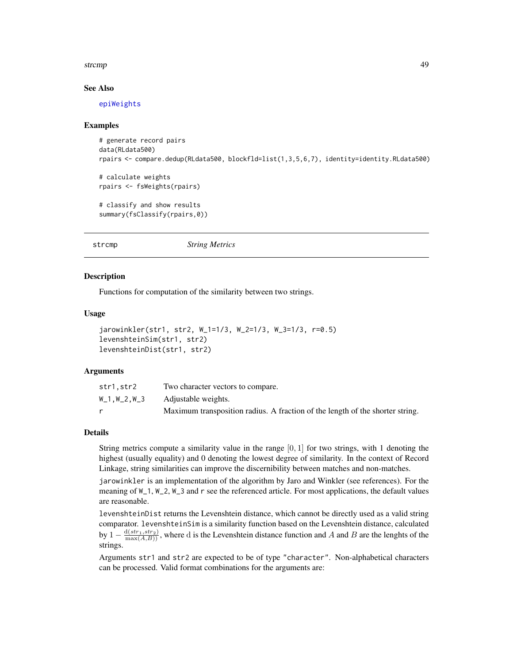### <span id="page-48-0"></span>strcmp and the strength of the strength of the strength of the strength of the strength of the strength of the strength of the strength of the strength of the strength of the strength of the strength of the strength of the

# See Also

[epiWeights](#page-14-1)

### Examples

```
# generate record pairs
data(RLdata500)
rpairs <- compare.dedup(RLdata500, blockfld=list(1,3,5,6,7), identity=identity.RLdata500)
# calculate weights
rpairs <- fsWeights(rpairs)
# classify and show results
summary(fsClassify(rpairs,0))
```
<span id="page-48-2"></span>strcmp *String Metrics*

### <span id="page-48-1"></span>Description

Functions for computation of the similarity between two strings.

#### Usage

```
jarowinkler(str1, str2, W_1=1/3, W_2=1/3, W_3=1/3, r=0.5)
levenshteinSim(str1, str2)
levenshteinDist(str1, str2)
```
#### Arguments

| str1.str2   | Two character vectors to compare.                                             |
|-------------|-------------------------------------------------------------------------------|
| W_1.W_2.W_3 | Adjustable weights.                                                           |
|             | Maximum transposition radius. A fraction of the length of the shorter string. |

## Details

String metrics compute a similarity value in the range  $[0, 1]$  for two strings, with 1 denoting the highest (usually equality) and 0 denoting the lowest degree of similarity. In the context of Record Linkage, string similarities can improve the discernibility between matches and non-matches.

jarowinkler is an implementation of the algorithm by Jaro and Winkler (see references). For the meaning of W\_1, W\_2, W\_3 and r see the referenced article. For most applications, the default values are reasonable.

levenshteinDist returns the Levenshtein distance, which cannot be directly used as a valid string comparator. levenshteinSim is a similarity function based on the Levenshtein distance, calculated by  $1-\frac{d(str_1, str_2)}{\max(A,B)}$ , where d is the Levenshtein distance function and A and B are the lenghts of the strings.

Arguments str1 and str2 are expected to be of type "character". Non-alphabetical characters can be processed. Valid format combinations for the arguments are: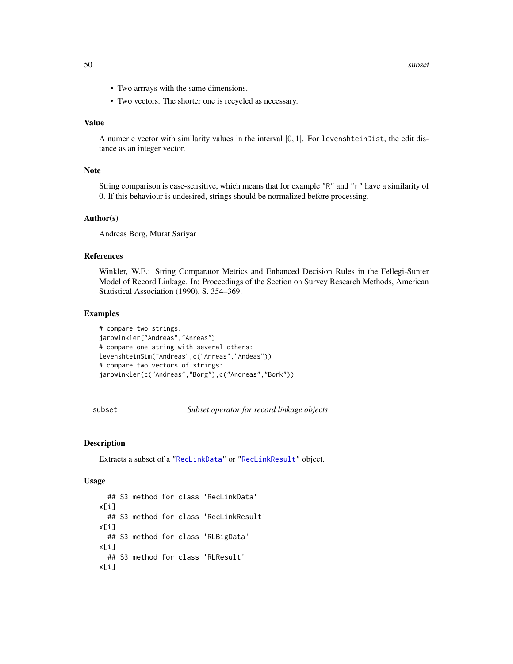- <span id="page-49-0"></span>• Two arrrays with the same dimensions.
- Two vectors. The shorter one is recycled as necessary.

### Value

A numeric vector with similarity values in the interval  $[0, 1]$ . For levenshteinDist, the edit distance as an integer vector.

# Note

String comparison is case-sensitive, which means that for example "R" and "r" have a similarity of 0. If this behaviour is undesired, strings should be normalized before processing.

### Author(s)

Andreas Borg, Murat Sariyar

# References

Winkler, W.E.: String Comparator Metrics and Enhanced Decision Rules in the Fellegi-Sunter Model of Record Linkage. In: Proceedings of the Section on Survey Research Methods, American Statistical Association (1990), S. 354–369.

#### Examples

```
# compare two strings:
jarowinkler("Andreas","Anreas")
# compare one string with several others:
levenshteinSim("Andreas",c("Anreas","Andeas"))
# compare two vectors of strings:
jarowinkler(c("Andreas","Borg"),c("Andreas","Bork"))
```

```
subset Subset operator for record linkage objects
```
### Description

Extracts a subset of a ["RecLinkData"](#page-33-1) or ["RecLinkResult"](#page-35-1) object.

#### Usage

```
## S3 method for class 'RecLinkData'
x[i]
  ## S3 method for class 'RecLinkResult'
x[i]
  ## S3 method for class 'RLBigData'
x[i]
  ## S3 method for class 'RLResult'
x[i]
```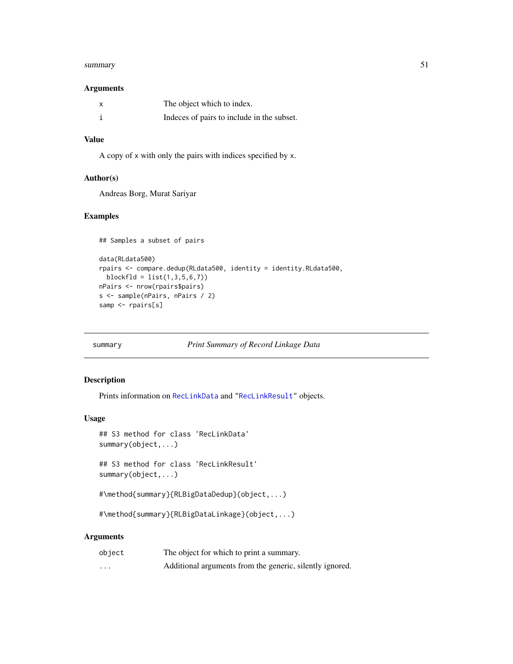#### <span id="page-50-0"></span>summary 51

# Arguments

| x | The object which to index.                 |
|---|--------------------------------------------|
|   | Indeces of pairs to include in the subset. |

# Value

A copy of x with only the pairs with indices specified by x.

# Author(s)

Andreas Borg, Murat Sariyar

# Examples

```
## Samples a subset of pairs
data(RLdata500)
rpairs <- compare.dedup(RLdata500, identity = identity.RLdata500,
 blockfid = list(1, 3, 5, 6, 7))nPairs <- nrow(rpairs$pairs)
s <- sample(nPairs, nPairs / 2)
samp <- rpairs[s]
```
# <span id="page-50-1"></span>summary *Print Summary of Record Linkage Data*

# Description

Prints information on [RecLinkData](#page-33-1) and ["RecLinkResult"](#page-34-1) objects.

# Usage

```
## S3 method for class 'RecLinkData'
summary(object,...)
```
## S3 method for class 'RecLinkResult' summary(object,...)

```
#\method{summary}{RLBigDataDedup}(object,...)
```
#\method{summary}{RLBigDataLinkage}(object,...)

## Arguments

| object | The object for which to print a summary.                 |
|--------|----------------------------------------------------------|
| .      | Additional arguments from the generic, silently ignored. |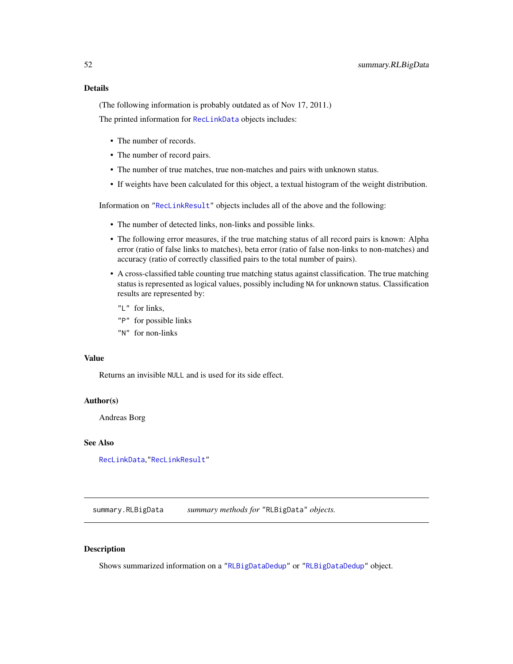# <span id="page-51-0"></span>Details

(The following information is probably outdated as of Nov 17, 2011.)

The printed information for [RecLinkData](#page-33-1) objects includes:

- The number of records.
- The number of record pairs.
- The number of true matches, true non-matches and pairs with unknown status.
- If weights have been calculated for this object, a textual histogram of the weight distribution.

Information on ["RecLinkResult"](#page-34-1) objects includes all of the above and the following:

- The number of detected links, non-links and possible links.
- The following error measures, if the true matching status of all record pairs is known: Alpha error (ratio of false links to matches), beta error (ratio of false non-links to non-matches) and accuracy (ratio of correctly classified pairs to the total number of pairs).
- A cross-classified table counting true matching status against classification. The true matching status is represented as logical values, possibly including NA for unknown status. Classification results are represented by:
	- "L" for links,
	- "P" for possible links
	- "N" for non-links

### Value

Returns an invisible NULL and is used for its side effect.

### Author(s)

Andreas Borg

# See Also

[RecLinkData](#page-33-1),["RecLinkResult"](#page-34-1)

summary.RLBigData *summary methods for* "RLBigData" *objects.*

# <span id="page-51-1"></span>Description

Shows summarized information on a ["RLBigDataDedup"](#page-40-1) or ["RLBigDataDedup"](#page-40-1) object.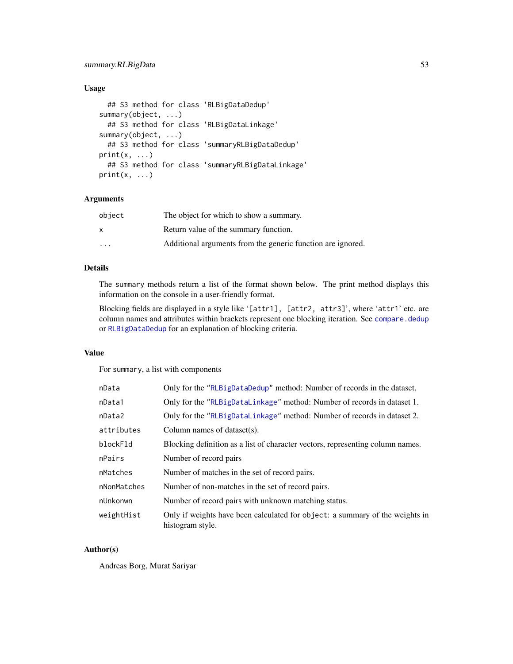# <span id="page-52-0"></span>summary.RLBigData 53

# Usage

```
## S3 method for class 'RLBigDataDedup'
summary(object, ...)
  ## S3 method for class 'RLBigDataLinkage'
summary(object, ...)
  ## S3 method for class 'summaryRLBigDataDedup'
print(x, \ldots)## S3 method for class 'summaryRLBigDataLinkage'
print(x, \ldots)
```
## Arguments

| object | The object for which to show a summary.                     |
|--------|-------------------------------------------------------------|
| X      | Return value of the summary function.                       |
| .      | Additional arguments from the generic function are ignored. |

# Details

The summary methods return a list of the format shown below. The print method displays this information on the console in a user-friendly format.

Blocking fields are displayed in a style like '[attr1], [attr2, attr3]', where 'attr1' etc. are column names and attributes within brackets represent one blocking iteration. See [compare.dedup](#page-5-1) or [RLBigDataDedup](#page-37-1) for an explanation of blocking criteria.

# Value

For summary, a list with components

| nData       | Only for the "RLBigDataDedup" method: Number of records in the dataset.                          |
|-------------|--------------------------------------------------------------------------------------------------|
| nData1      | Only for the "RLBigDataLinkage" method: Number of records in dataset 1.                          |
| nData2      | Only for the "RLBigDataLinkage" method: Number of records in dataset 2.                          |
| attributes  | Column names of dataset(s).                                                                      |
| blockFld    | Blocking definition as a list of character vectors, representing column names.                   |
| nPairs      | Number of record pairs                                                                           |
| nMatches    | Number of matches in the set of record pairs.                                                    |
| nNonMatches | Number of non-matches in the set of record pairs.                                                |
| nUnkonwn    | Number of record pairs with unknown matching status.                                             |
| weightHist  | Only if weights have been calculated for object: a summary of the weights in<br>histogram style. |

# Author(s)

Andreas Borg, Murat Sariyar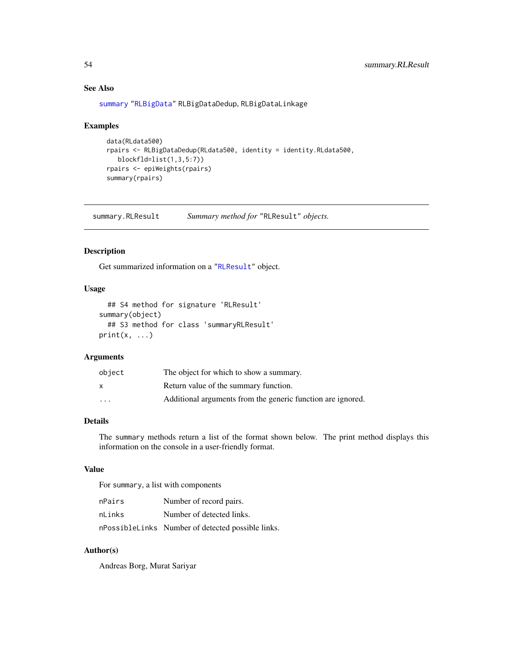# See Also

[summary](#page-50-1) ["RLBigData"](#page-36-1) RLBigDataDedup, RLBigDataLinkage

# Examples

```
data(RLdata500)
rpairs <- RLBigDataDedup(RLdata500, identity = identity.RLdata500,
  blockfld=list(1,3,5:7))
rpairs <- epiWeights(rpairs)
summary(rpairs)
```
summary.RLResult *Summary method for* "RLResult" *objects.*

# Description

Get summarized information on a ["RLResult"](#page-43-1) object.

# Usage

```
## S4 method for signature 'RLResult'
summary(object)
  ## S3 method for class 'summaryRLResult'
print(x, \ldots)
```
# Arguments

| object   | The object for which to show a summary.                     |
|----------|-------------------------------------------------------------|
|          | Return value of the summary function.                       |
| $\cdots$ | Additional arguments from the generic function are ignored. |

# Details

The summary methods return a list of the format shown below. The print method displays this information on the console in a user-friendly format.

### Value

For summary, a list with components

| nPairs | Number of record pairs.                           |
|--------|---------------------------------------------------|
| nLinks | Number of detected links.                         |
|        | nPossibleLinks Number of detected possible links. |

# Author(s)

Andreas Borg, Murat Sariyar

<span id="page-53-0"></span>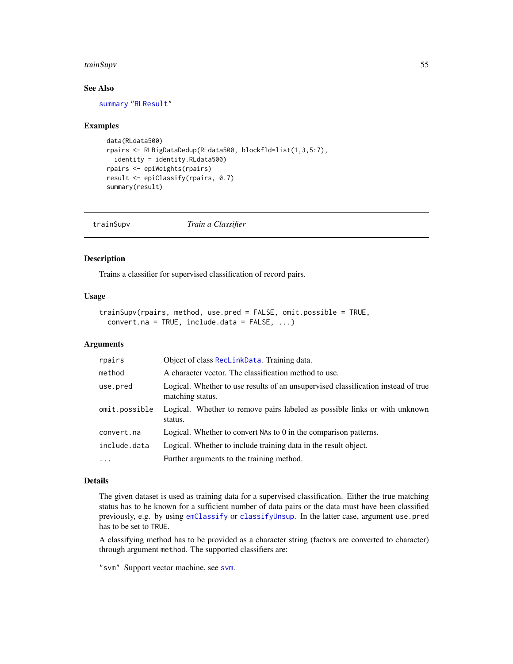#### <span id="page-54-0"></span>trainSupv 55

# See Also

[summary](#page-50-1) ["RLResult"](#page-43-1)

#### Examples

```
data(RLdata500)
rpairs <- RLBigDataDedup(RLdata500, blockfld=list(1,3,5:7),
 identity = identity.RLdata500)
rpairs <- epiWeights(rpairs)
result <- epiClassify(rpairs, 0.7)
summary(result)
```
<span id="page-54-1"></span>

| trainSupv | Train a Classifier |
|-----------|--------------------|
|-----------|--------------------|

# Description

Trains a classifier for supervised classification of record pairs.

### Usage

```
trainSupv(rpairs, method, use.pred = FALSE, omit.possible = TRUE,
 convert.na = TRUE, include.data = FALSE, ...)
```
### Arguments

| rpairs        | Object of class ReclinkData. Training data.                                                           |
|---------------|-------------------------------------------------------------------------------------------------------|
| method        | A character vector. The classification method to use.                                                 |
| use.pred      | Logical. Whether to use results of an unsupervised classification instead of true<br>matching status. |
| omit.possible | Logical. Whether to remove pairs labeled as possible links or with unknown<br>status.                 |
| convert.na    | Logical. Whether to convert NAs to 0 in the comparison patterns.                                      |
| include.data  | Logical. Whether to include training data in the result object.                                       |
| $\ddots$ .    | Further arguments to the training method.                                                             |

### Details

The given dataset is used as training data for a supervised classification. Either the true matching status has to be known for a sufficient number of data pairs or the data must have been classified previously, e.g. by using [emClassify](#page-9-1) or [classifyUnsup](#page-3-1). In the latter case, argument use.pred has to be set to TRUE.

A classifying method has to be provided as a character string (factors are converted to character) through argument method. The supported classifiers are:

"svm" Support vector machine, see [svm](#page-0-0).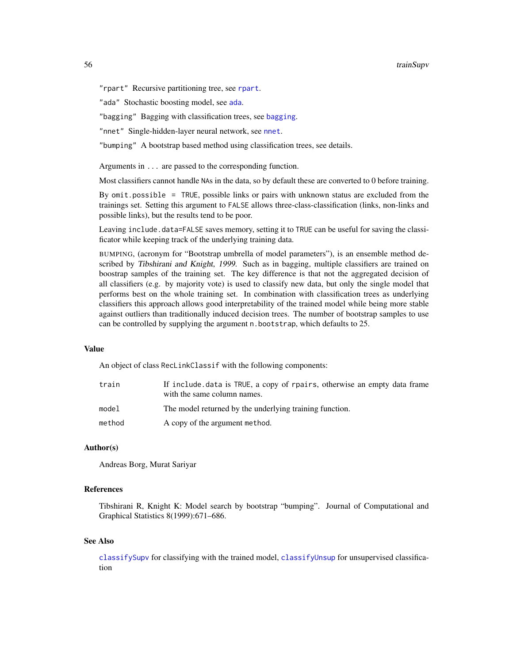#### <span id="page-55-0"></span>56 trainSupv

"rpart" Recursive partitioning tree, see [rpart](#page-0-0).

"ada" Stochastic boosting model, see [ada](#page-0-0).

"[bagging](#page-0-0)" Bagging with classification trees, see bagging.

"nnet" Single-hidden-layer neural network, see [nnet](#page-0-0).

"bumping" A bootstrap based method using classification trees, see details.

Arguments in ... are passed to the corresponding function.

Most classifiers cannot handle NAs in the data, so by default these are converted to 0 before training.

By omit.possible = TRUE, possible links or pairs with unknown status are excluded from the trainings set. Setting this argument to FALSE allows three-class-classification (links, non-links and possible links), but the results tend to be poor.

Leaving include.data=FALSE saves memory, setting it to TRUE can be useful for saving the classificator while keeping track of the underlying training data.

BUMPING, (acronym for "Bootstrap umbrella of model parameters"), is an ensemble method described by Tibshirani and Knight, 1999. Such as in bagging, multiple classifiers are trained on boostrap samples of the training set. The key difference is that not the aggregated decision of all classifiers (e.g. by majority vote) is used to classify new data, but only the single model that performs best on the whole training set. In combination with classification trees as underlying classifiers this approach allows good interpretability of the trained model while being more stable against outliers than traditionally induced decision trees. The number of bootstrap samples to use can be controlled by supplying the argument n.bootstrap, which defaults to 25.

### Value

An object of class RecLinkClassif with the following components:

| train  | If include data is TRUE, a copy of rpairs, otherwise an empty data frame<br>with the same column names. |
|--------|---------------------------------------------------------------------------------------------------------|
| model  | The model returned by the underlying training function.                                                 |
| method | A copy of the argument method.                                                                          |

### Author(s)

Andreas Borg, Murat Sariyar

### References

Tibshirani R, Knight K: Model search by bootstrap "bumping". Journal of Computational and Graphical Statistics 8(1999):671–686.

#### See Also

[classifySupv](#page-2-1) for classifying with the trained model, [classifyUnsup](#page-3-1) for unsupervised classification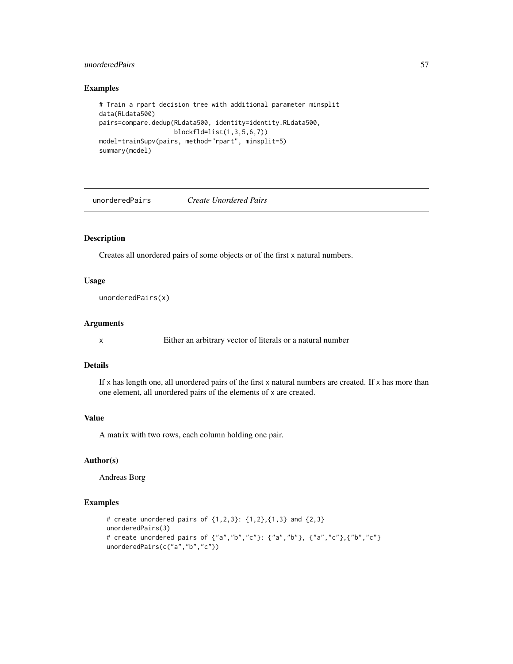# <span id="page-56-0"></span>unorderedPairs 57

# Examples

```
# Train a rpart decision tree with additional parameter minsplit
data(RLdata500)
pairs=compare.dedup(RLdata500, identity=identity.RLdata500,
                    blockfld=list(1,3,5,6,7))
model=trainSupv(pairs, method="rpart", minsplit=5)
summary(model)
```
unorderedPairs *Create Unordered Pairs*

# Description

Creates all unordered pairs of some objects or of the first x natural numbers.

### Usage

unorderedPairs(x)

### Arguments

x Either an arbitrary vector of literals or a natural number

# Details

If x has length one, all unordered pairs of the first x natural numbers are created. If x has more than one element, all unordered pairs of the elements of x are created.

#### Value

A matrix with two rows, each column holding one pair.

# Author(s)

Andreas Borg

# Examples

```
# create unordered pairs of {1,2,3}: {1,2},{1,3} and {2,3}
unorderedPairs(3)
# create unordered pairs of {"a","b","c"}: {"a","b"}, {"a","c"},{"b","c"}
unorderedPairs(c("a","b","c"))
```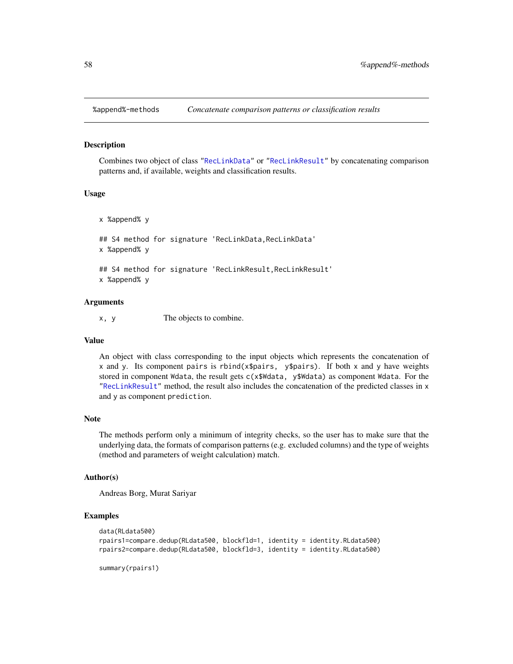<span id="page-57-0"></span>

Combines two object of class ["RecLinkData"](#page-33-1) or ["RecLinkResult"](#page-35-1) by concatenating comparison patterns and, if available, weights and classification results.

# Usage

x %append% y ## S4 method for signature 'RecLinkData, RecLinkData' x %append% y ## S4 method for signature 'RecLinkResult, RecLinkResult' x %append% y

#### Arguments

x, y The objects to combine.

#### Value

An object with class corresponding to the input objects which represents the concatenation of x and y. Its component pairs is rbind(x\$pairs, y\$pairs). If both x and y have weights stored in component Wdata, the result gets c(x\$Wdata, y\$Wdata) as component Wdata. For the ["RecLinkResult"](#page-35-1) method, the result also includes the concatenation of the predicted classes in x and y as component prediction.

# Note

The methods perform only a minimum of integrity checks, so the user has to make sure that the underlying data, the formats of comparison patterns (e.g. excluded columns) and the type of weights (method and parameters of weight calculation) match.

#### Author(s)

Andreas Borg, Murat Sariyar

# Examples

```
data(RLdata500)
rpairs1=compare.dedup(RLdata500, blockfld=1, identity = identity.RLdata500)
rpairs2=compare.dedup(RLdata500, blockfld=3, identity = identity.RLdata500)
```
summary(rpairs1)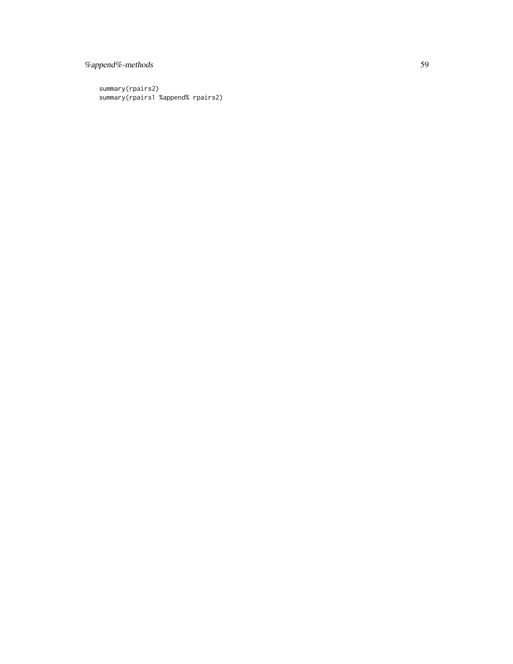# %append%-methods 59

summary(rpairs2) summary(rpairs1 %append% rpairs2)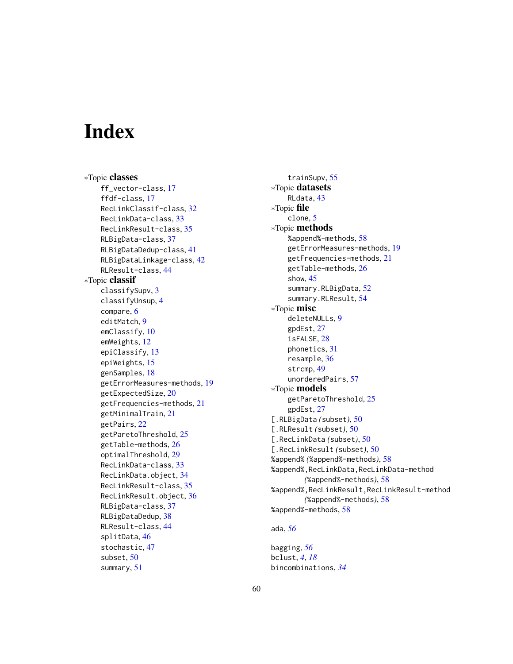# <span id="page-59-0"></span>**Index**

∗Topic classes ff\_vector-class, [17](#page-16-0) ffdf-class, [17](#page-16-0) RecLinkClassif-class, [32](#page-31-0) RecLinkData-class, [33](#page-32-0) RecLinkResult-class, [35](#page-34-0) RLBigData-class, [37](#page-36-0) RLBigDataDedup-class, [41](#page-40-0) RLBigDataLinkage-class, [42](#page-41-0) RLResult-class, [44](#page-43-0) ∗Topic classif classifySupv, [3](#page-2-0) classifyUnsup, [4](#page-3-0) compare, [6](#page-5-0) editMatch, [9](#page-8-0) emClassify, [10](#page-9-0) emWeights, [12](#page-11-0) epiClassify, [13](#page-12-0) epiWeights, [15](#page-14-0) genSamples, [18](#page-17-0) getErrorMeasures-methods, [19](#page-18-0) getExpectedSize, [20](#page-19-0) getFrequencies-methods, [21](#page-20-0) getMinimalTrain, [21](#page-20-0) getPairs, [22](#page-21-0) getParetoThreshold, [25](#page-24-0) getTable-methods, [26](#page-25-0) optimalThreshold, [29](#page-28-0) RecLinkData-class, [33](#page-32-0) RecLinkData.object, [34](#page-33-0) RecLinkResult-class, [35](#page-34-0) RecLinkResult.object, [36](#page-35-0) RLBigData-class, [37](#page-36-0) RLBigDataDedup, [38](#page-37-0) RLResult-class, [44](#page-43-0) splitData, [46](#page-45-0) stochastic, [47](#page-46-0) subset, [50](#page-49-0) summary, [51](#page-50-0)

trainSupv, [55](#page-54-0) ∗Topic datasets RLdata, [43](#page-42-0) ∗Topic file clone, [5](#page-4-0) ∗Topic methods %append%-methods, [58](#page-57-0) getErrorMeasures-methods, [19](#page-18-0) getFrequencies-methods, [21](#page-20-0) getTable-methods, [26](#page-25-0) show, [45](#page-44-0) summary.RLBigData, [52](#page-51-0) summary.RLResult, [54](#page-53-0) ∗Topic misc deleteNULLs, [9](#page-8-0) gpdEst, [27](#page-26-0) isFALSE, [28](#page-27-0) phonetics, [31](#page-30-0) resample, [36](#page-35-0) strcmp, [49](#page-48-0) unorderedPairs, [57](#page-56-0) ∗Topic models getParetoThreshold, [25](#page-24-0) gpdEst, [27](#page-26-0) [.RLBigData *(*subset*)*, [50](#page-49-0) [.RLResult *(*subset*)*, [50](#page-49-0) [.RecLinkData *(*subset*)*, [50](#page-49-0) [.RecLinkResult *(*subset*)*, [50](#page-49-0) %append% *(*%append%-methods*)*, [58](#page-57-0) %append%,RecLinkData,RecLinkData-method *(*%append%-methods*)*, [58](#page-57-0) %append%,RecLinkResult,RecLinkResult-method *(*%append%-methods*)*, [58](#page-57-0) %append%-methods, [58](#page-57-0) ada, *[56](#page-55-0)*

bagging, *[56](#page-55-0)* bclust, *[4](#page-3-0)*, *[18](#page-17-0)* bincombinations, *[34](#page-33-0)*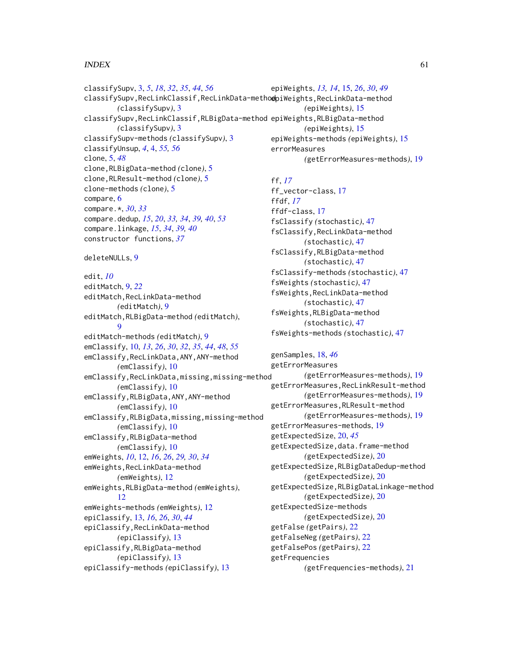### $I$ NDEX 61

classifySupv, [3,](#page-2-0) *[5](#page-4-0)*, *[18](#page-17-0)*, *[32](#page-31-0)*, *[35](#page-34-0)*, *[44](#page-43-0)*, *[56](#page-55-0)* classifySupv, RecLinkClassif, RecLinkData-methodpiWeights, RecLinkData-method *(*classifySupv*)*, [3](#page-2-0) classifySupv,RecLinkClassif,RLBigData-method epiWeights,RLBigData-method *(*classifySupv*)*, [3](#page-2-0) classifySupv-methods *(*classifySupv*)*, [3](#page-2-0) classifyUnsup, *[4](#page-3-0)*, [4,](#page-3-0) *[55,](#page-54-0) [56](#page-55-0)* clone, [5,](#page-4-0) *[48](#page-47-0)* clone,RLBigData-method *(*clone*)*, [5](#page-4-0) clone,RLResult-method *(*clone*)*, [5](#page-4-0) clone-methods *(*clone*)*, [5](#page-4-0) compare, [6](#page-5-0) compare.\*, *[30](#page-29-0)*, *[33](#page-32-0)* compare.dedup, *[15](#page-14-0)*, *[20](#page-19-0)*, *[33,](#page-32-0) [34](#page-33-0)*, *[39,](#page-38-0) [40](#page-39-0)*, *[53](#page-52-0)* compare.linkage, *[15](#page-14-0)*, *[34](#page-33-0)*, *[39,](#page-38-0) [40](#page-39-0)* constructor functions, *[37](#page-36-0)* deleteNULLs, [9](#page-8-0) edit, *[10](#page-9-0)* editMatch, [9,](#page-8-0) *[22](#page-21-0)* editMatch,RecLinkData-method *(*editMatch*)*, [9](#page-8-0) editMatch,RLBigData-method *(*editMatch*)*,  $\Omega$ editMatch-methods *(*editMatch*)*, [9](#page-8-0) emClassify, [10,](#page-9-0) *[13](#page-12-0)*, *[26](#page-25-0)*, *[30](#page-29-0)*, *[32](#page-31-0)*, *[35](#page-34-0)*, *[44](#page-43-0)*, *[48](#page-47-0)*, *[55](#page-54-0)* emClassify,RecLinkData,ANY,ANY-method *(*emClassify*)*, [10](#page-9-0) emClassify,RecLinkData,missing,missing-method *(*emClassify*)*, [10](#page-9-0) emClassify,RLBigData,ANY,ANY-method *(*emClassify*)*, [10](#page-9-0) emClassify,RLBigData,missing,missing-method *(*emClassify*)*, [10](#page-9-0) emClassify,RLBigData-method *(*emClassify*)*, [10](#page-9-0) emWeights, *[10](#page-9-0)*, [12,](#page-11-0) *[16](#page-15-0)*, *[26](#page-25-0)*, *[29,](#page-28-0) [30](#page-29-0)*, *[34](#page-33-0)* emWeights,RecLinkData-method *(*emWeights*)*, [12](#page-11-0) emWeights,RLBigData-method *(*emWeights*)*, [12](#page-11-0) emWeights-methods *(*emWeights*)*, [12](#page-11-0) epiClassify, [13,](#page-12-0) *[16](#page-15-0)*, *[26](#page-25-0)*, *[30](#page-29-0)*, *[44](#page-43-0)* epiClassify,RecLinkData-method *(*epiClassify*)*, [13](#page-12-0) epiClassify,RLBigData-method *(*epiClassify*)*, [13](#page-12-0) epiClassify-methods *(*epiClassify*)*, [13](#page-12-0)

epiWeights, *[13,](#page-12-0) [14](#page-13-0)*, [15,](#page-14-0) *[26](#page-25-0)*, *[30](#page-29-0)*, *[49](#page-48-0) (*epiWeights*)*, [15](#page-14-0) *(*epiWeights*)*, [15](#page-14-0) epiWeights-methods *(*epiWeights*)*, [15](#page-14-0) errorMeasures *(*getErrorMeasures-methods*)*, [19](#page-18-0)

# ff, *[17](#page-16-0)*

ff\_vector-class, [17](#page-16-0) ffdf, *[17](#page-16-0)* ffdf-class, [17](#page-16-0) fsClassify *(*stochastic*)*, [47](#page-46-0) fsClassify,RecLinkData-method *(*stochastic*)*, [47](#page-46-0) fsClassify,RLBigData-method *(*stochastic*)*, [47](#page-46-0) fsClassify-methods *(*stochastic*)*, [47](#page-46-0) fsWeights *(*stochastic*)*, [47](#page-46-0) fsWeights,RecLinkData-method *(*stochastic*)*, [47](#page-46-0) fsWeights,RLBigData-method *(*stochastic*)*, [47](#page-46-0) fsWeights-methods *(*stochastic*)*, [47](#page-46-0)

genSamples, [18,](#page-17-0) *[46](#page-45-0)* getErrorMeasures *(*getErrorMeasures-methods*)*, [19](#page-18-0) getErrorMeasures,RecLinkResult-method *(*getErrorMeasures-methods*)*, [19](#page-18-0) getErrorMeasures,RLResult-method *(*getErrorMeasures-methods*)*, [19](#page-18-0) getErrorMeasures-methods, [19](#page-18-0) getExpectedSize, [20,](#page-19-0) *[45](#page-44-0)* getExpectedSize,data.frame-method *(*getExpectedSize*)*, [20](#page-19-0) getExpectedSize,RLBigDataDedup-method *(*getExpectedSize*)*, [20](#page-19-0) getExpectedSize,RLBigDataLinkage-method *(*getExpectedSize*)*, [20](#page-19-0) getExpectedSize-methods *(*getExpectedSize*)*, [20](#page-19-0) getFalse *(*getPairs*)*, [22](#page-21-0) getFalseNeg *(*getPairs*)*, [22](#page-21-0) getFalsePos *(*getPairs*)*, [22](#page-21-0) getFrequencies *(*getFrequencies-methods*)*, [21](#page-20-0)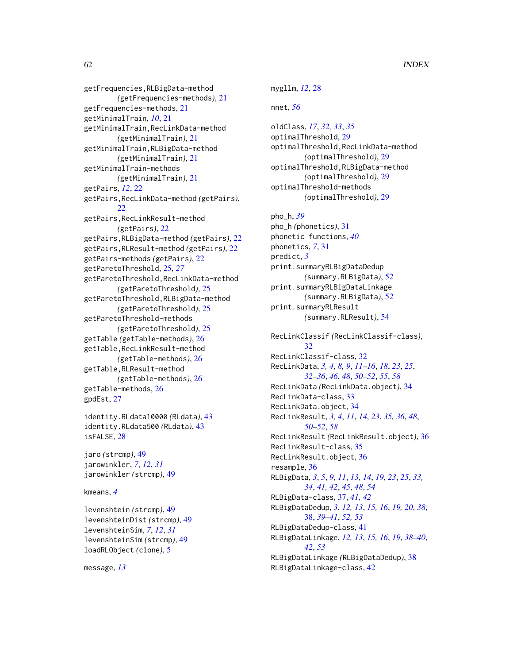getFrequencies,RLBigData-method *(*getFrequencies-methods*)*, [21](#page-20-0) getFrequencies-methods, [21](#page-20-0) getMinimalTrain, *[10](#page-9-0)*, [21](#page-20-0) getMinimalTrain,RecLinkData-method *(*getMinimalTrain*)*, [21](#page-20-0) getMinimalTrain,RLBigData-method *(*getMinimalTrain*)*, [21](#page-20-0) getMinimalTrain-methods *(*getMinimalTrain*)*, [21](#page-20-0) getPairs, *[12](#page-11-0)*, [22](#page-21-0) getPairs,RecLinkData-method *(*getPairs*)*, [22](#page-21-0) getPairs,RecLinkResult-method *(*getPairs*)*, [22](#page-21-0) getPairs,RLBigData-method *(*getPairs*)*, [22](#page-21-0) getPairs,RLResult-method *(*getPairs*)*, [22](#page-21-0) getPairs-methods *(*getPairs*)*, [22](#page-21-0) getParetoThreshold, [25,](#page-24-0) *[27](#page-26-0)* getParetoThreshold,RecLinkData-method *(*getParetoThreshold*)*, [25](#page-24-0) getParetoThreshold,RLBigData-method *(*getParetoThreshold*)*, [25](#page-24-0) getParetoThreshold-methods *(*getParetoThreshold*)*, [25](#page-24-0) getTable *(*getTable-methods*)*, [26](#page-25-0) getTable,RecLinkResult-method *(*getTable-methods*)*, [26](#page-25-0) getTable,RLResult-method *(*getTable-methods*)*, [26](#page-25-0) getTable-methods, [26](#page-25-0) gpdEst, [27](#page-26-0)

```
identity.RLdata10000 (RLdata), 43
identity.RLdata500 (RLdata), 43
isFALSE, 28
```
jaro *(*strcmp*)*, [49](#page-48-0) jarowinkler, *[7](#page-6-0)*, *[12](#page-11-0)*, *[31](#page-30-0)* jarowinkler *(*strcmp*)*, [49](#page-48-0)

### kmeans, *[4](#page-3-0)*

levenshtein *(*strcmp*)*, [49](#page-48-0) levenshteinDist *(*strcmp*)*, [49](#page-48-0) levenshteinSim, *[7](#page-6-0)*, *[12](#page-11-0)*, *[31](#page-30-0)* levenshteinSim *(*strcmp*)*, [49](#page-48-0) loadRLObject *(*clone*)*, [5](#page-4-0)

message, *[13](#page-12-0)*

mygllm, *[12](#page-11-0)*, [28](#page-27-0) nnet, *[56](#page-55-0)* oldClass, *[17](#page-16-0)*, *[32,](#page-31-0) [33](#page-32-0)*, *[35](#page-34-0)* optimalThreshold, [29](#page-28-0) optimalThreshold,RecLinkData-method *(*optimalThreshold*)*, [29](#page-28-0) optimalThreshold,RLBigData-method *(*optimalThreshold*)*, [29](#page-28-0) optimalThreshold-methods *(*optimalThreshold*)*, [29](#page-28-0) pho\_h, *[39](#page-38-0)* pho\_h *(*phonetics*)*, [31](#page-30-0) phonetic functions, *[40](#page-39-0)* phonetics, *[7](#page-6-0)*, [31](#page-30-0) predict, *[3](#page-2-0)* print.summaryRLBigDataDedup *(*summary.RLBigData*)*, [52](#page-51-0) print.summaryRLBigDataLinkage *(*summary.RLBigData*)*, [52](#page-51-0) print.summaryRLResult *(*summary.RLResult*)*, [54](#page-53-0) RecLinkClassif *(*RecLinkClassif-class*)*, [32](#page-31-0) RecLinkClassif-class, [32](#page-31-0) RecLinkData, *[3,](#page-2-0) [4](#page-3-0)*, *[8,](#page-7-0) [9](#page-8-0)*, *[11](#page-10-0)[–16](#page-15-0)*, *[18](#page-17-0)*, *[23](#page-22-0)*, *[25](#page-24-0)*, *[32](#page-31-0)[–36](#page-35-0)*, *[46](#page-45-0)*, *[48](#page-47-0)*, *[50](#page-49-0)[–52](#page-51-0)*, *[55](#page-54-0)*, *[58](#page-57-0)* RecLinkData *(*RecLinkData.object*)*, [34](#page-33-0) RecLinkData-class, [33](#page-32-0) RecLinkData.object, [34](#page-33-0) RecLinkResult, *[3,](#page-2-0) [4](#page-3-0)*, *[11](#page-10-0)*, *[14](#page-13-0)*, *[23](#page-22-0)*, *[35,](#page-34-0) [36](#page-35-0)*, *[48](#page-47-0)*, *[50](#page-49-0)[–52](#page-51-0)*, *[58](#page-57-0)* RecLinkResult *(*RecLinkResult.object*)*, [36](#page-35-0) RecLinkResult-class, [35](#page-34-0) RecLinkResult.object, [36](#page-35-0) resample, [36](#page-35-0) RLBigData, *[3](#page-2-0)*, *[5](#page-4-0)*, *[9](#page-8-0)*, *[11](#page-10-0)*, *[13,](#page-12-0) [14](#page-13-0)*, *[19](#page-18-0)*, *[23](#page-22-0)*, *[25](#page-24-0)*, *[33,](#page-32-0) [34](#page-33-0)*, *[41,](#page-40-0) [42](#page-41-0)*, *[45](#page-44-0)*, *[48](#page-47-0)*, *[54](#page-53-0)* RLBigData-class, [37,](#page-36-0) *[41,](#page-40-0) [42](#page-41-0)* RLBigDataDedup, *[3](#page-2-0)*, *[12,](#page-11-0) [13](#page-12-0)*, *[15,](#page-14-0) [16](#page-15-0)*, *[19,](#page-18-0) [20](#page-19-0)*, *[38](#page-37-0)*, [38,](#page-37-0) *[39](#page-38-0)[–41](#page-40-0)*, *[52,](#page-51-0) [53](#page-52-0)* RLBigDataDedup-class, [41](#page-40-0) RLBigDataLinkage, *[12,](#page-11-0) [13](#page-12-0)*, *[15,](#page-14-0) [16](#page-15-0)*, *[19](#page-18-0)*, *[38](#page-37-0)[–40](#page-39-0)*, *[42](#page-41-0)*, *[53](#page-52-0)* RLBigDataLinkage *(*RLBigDataDedup*)*, [38](#page-37-0)

RLBigDataLinkage-class, [42](#page-41-0)